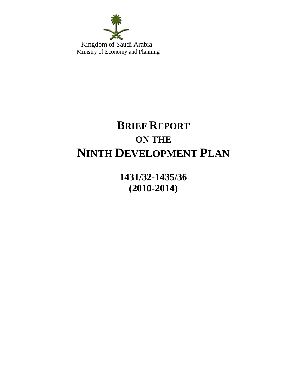

 Kingdom of Saudi Arabia Ministry of Economy and Planning

# **BRIEF REPORT ON THE NINTH DEVELOPMENT PLAN**

**1431/32-1435/36 (2010-2014)**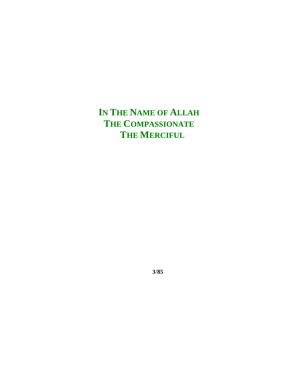**IN THE NAME OF ALLAH THE COMPASSIONATE THE MERCIFUL**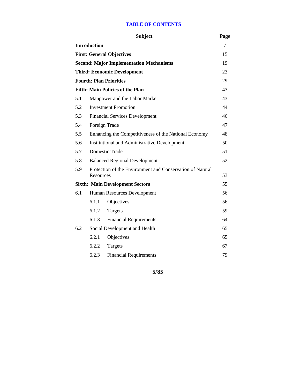#### **TABLE OF CONTENTS**

|                                  |                                                                        | <b>Subject</b>                                        | Page |
|----------------------------------|------------------------------------------------------------------------|-------------------------------------------------------|------|
|                                  | <b>Introduction</b>                                                    |                                                       | 7    |
| <b>First: General Objectives</b> |                                                                        |                                                       |      |
|                                  |                                                                        | <b>Second: Major Implementation Mechanisms</b>        | 19   |
|                                  |                                                                        | <b>Third: Economic Development</b>                    | 23   |
|                                  |                                                                        | <b>Fourth: Plan Priorities</b>                        | 29   |
|                                  |                                                                        | <b>Fifth: Main Policies of the Plan</b>               | 43   |
| 5.1                              |                                                                        | Manpower and the Labor Market                         | 43   |
| 5.2                              | <b>Investment Promotion</b>                                            |                                                       |      |
| 5.3                              |                                                                        | <b>Financial Services Development</b>                 | 46   |
| 5.4                              |                                                                        | Foreign Trade                                         | 47   |
| 5.5                              |                                                                        | Enhancing the Competitiveness of the National Economy | 48   |
| 5.6                              |                                                                        | <b>Institutional and Administrative Development</b>   | 50   |
| 5.7                              |                                                                        | Domestic Trade                                        | 51   |
| 5.8                              |                                                                        | <b>Balanced Regional Development</b>                  | 52   |
| 5.9                              | Protection of the Environment and Conservation of Natural<br>Resources |                                                       |      |
|                                  |                                                                        | <b>Sixth: Main Development Sectors</b>                | 55   |
| 6.1                              |                                                                        | Human Resources Development                           | 56   |
|                                  | 6.1.1                                                                  | Objectives                                            | 56   |
|                                  | 6.1.2                                                                  | Targets                                               | 59   |
|                                  | 6.1.3                                                                  | Financial Requirements.                               | 64   |
| 6.2                              | Social Development and Health                                          |                                                       |      |
|                                  | 6.2.1                                                                  | Objectives                                            | 65   |
|                                  | 6.2.2                                                                  | Targets                                               | 67   |
|                                  | 6.2.3                                                                  | <b>Financial Requirements</b>                         | 79   |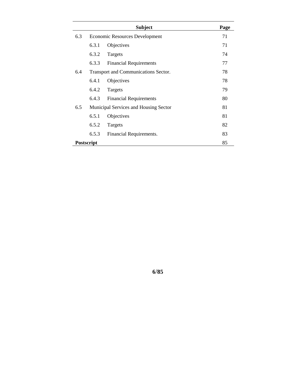|            |                                       | <b>Subject</b>                | Page |
|------------|---------------------------------------|-------------------------------|------|
| 6.3        | <b>Economic Resources Development</b> | 71                            |      |
|            | 6.3.1                                 | Objectives                    | 71   |
|            | 6.3.2                                 | Targets                       | 74   |
|            | 6.3.3                                 | <b>Financial Requirements</b> | 77   |
| 6.4        | Transport and Communications Sector.  | 78                            |      |
|            | 6.4.1                                 | Objectives                    | 78   |
|            | 6.4.2                                 | Targets                       | 79   |
|            | 6.4.3                                 | <b>Financial Requirements</b> | 80   |
| 6.5        | Municipal Services and Housing Sector |                               | 81   |
|            | 6.5.1                                 | Objectives                    | 81   |
|            | 6.5.2                                 | Targets                       | 82   |
|            | 6.5.3                                 | Financial Requirements.       | 83   |
| Postscript |                                       |                               | 85   |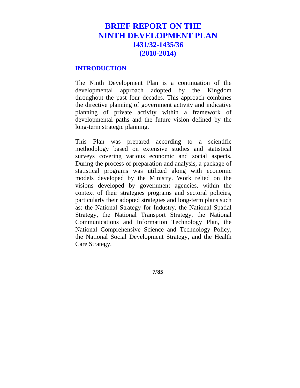# **BRIEF REPORT ON THE NINTH DEVELOPMENT PLAN 1431/32-1435/36 (2010-2014)**

#### **INTRODUCTION**

The Ninth Development Plan is a continuation of the developmental approach adopted by the Kingdom throughout the past four decades. This approach combines the directive planning of government activity and indicative planning of private activity within a framework of developmental paths and the future vision defined by the long-term strategic planning.

This Plan was prepared according to a scientific methodology based on extensive studies and statistical surveys covering various economic and social aspects. During the process of preparation and analysis, a package of statistical programs was utilized along with economic models developed by the Ministry. Work relied on the visions developed by government agencies, within the context of their strategies programs and sectoral policies, particularly their adopted strategies and long-term plans such as: the National Strategy for Industry, the National Spatial Strategy, the National Transport Strategy, the National Communications and Information Technology Plan, the National Comprehensive Science and Technology Policy, the National Social Development Strategy, and the Health Care Strategy.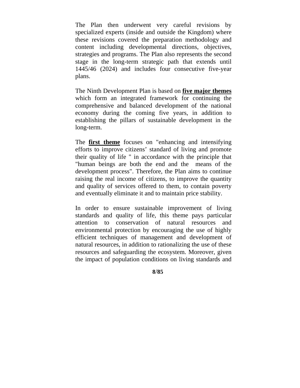The Plan then underwent very careful revisions by specialized experts (inside and outside the Kingdom) where these revisions covered the preparation methodology and content including developmental directions, objectives, strategies and programs. The Plan also represents the second stage in the long-term strategic path that extends until 1445/46 (2024) and includes four consecutive five-year plans.

The Ninth Development Plan is based on **five major themes** which form an integrated framework for continuing the comprehensive and balanced development of the national economy during the coming five years, in addition to establishing the pillars of sustainable development in the long-term.

The **first theme** focuses on "enhancing and intensifying efforts to improve citizens' standard of living and promote their quality of life " in accordance with the principle that "human beings are both the end and the means of the development process". Therefore, the Plan aims to continue raising the real income of citizens, to improve the quantity and quality of services offered to them, to contain poverty and eventually eliminate it and to maintain price stability.

In order to ensure sustainable improvement of living standards and quality of life, this theme pays particular attention to conservation of natural resources and environmental protection by encouraging the use of highly efficient techniques of management and development of natural resources, in addition to rationalizing the use of these resources and safeguarding the ecosystem. Moreover, given the impact of population conditions on living standards and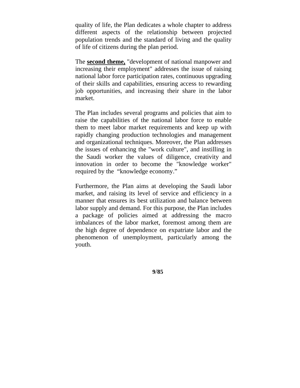quality of life, the Plan dedicates a whole chapter to address different aspects of the relationship between projected population trends and the standard of living and the quality of life of citizens during the plan period.

The **second theme,** "development of national manpower and increasing their employment" addresses the issue of raising national labor force participation rates, continuous upgrading of their skills and capabilities, ensuring access to rewarding job opportunities, and increasing their share in the labor market.

The Plan includes several programs and policies that aim to raise the capabilities of the national labor force to enable them to meet labor market requirements and keep up with rapidly changing production technologies and management and organizational techniques. Moreover, the Plan addresses the issues of enhancing the "work culture", and instilling in the Saudi worker the values of diligence, creativity and innovation in order to become the "knowledge worker" required by the "knowledge economy."

Furthermore, the Plan aims at developing the Saudi labor market, and raising its level of service and efficiency in a manner that ensures its best utilization and balance between labor supply and demand. For this purpose, the Plan includes a package of policies aimed at addressing the macro imbalances of the labor market, foremost among them are the high degree of dependence on expatriate labor and the phenomenon of unemployment, particularly among the youth.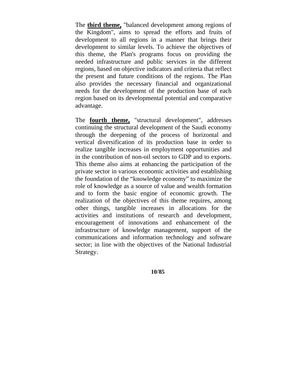The **third theme,** "balanced development among regions of the Kingdom", aims to spread the efforts and fruits of development to all regions in a manner that brings their development to similar levels. To achieve the objectives of this theme, the Plan's programs focus on providing the needed infrastructure and public services in the different regions, based on objective indicators and criteria that reflect the present and future conditions of the regions. The Plan also provides the necessary financial and organizational needs for the development of the production base of each region based on its developmental potential and comparative advantage.

The **fourth theme,** "structural development", addresses continuing the structural development of the Saudi economy through the deepening of the process of horizontal and vertical diversification of its production base in order to realize tangible increases in employment opportunities and in the contribution of non-oil sectors to GDP and to exports. This theme also aims at enhancing the participation of the private sector in various economic activities and establishing the foundation of the "knowledge economy" to maximize the role of knowledge as a source of value and wealth formation and to form the basic engine of economic growth. The realization of the objectives of this theme requires, among other things, tangible increases in allocations for the activities and institutions of research and development, encouragement of innovations and enhancement of the infrastructure of knowledge management, support of the communications and information technology and software sector; in line with the objectives of the National Industrial Strategy.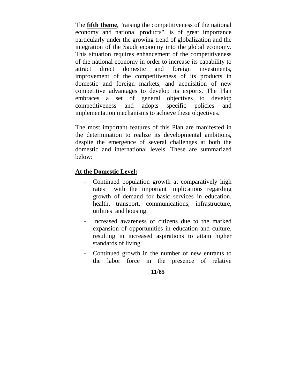The **fifth theme**, "raising the competitiveness of the national economy and national products", is of great importance particularly under the growing trend of globalization and the integration of the Saudi economy into the global economy. This situation requires enhancement of the competitiveness of the national economy in order to increase its capability to attract direct domestic and foreign investments, improvement of the competitiveness of its products in domestic and foreign markets, and acquisition of new competitive advantages to develop its exports. The Plan embraces a set of general objectives to develop competitiveness and adopts specific policies and implementation mechanisms to achieve these objectives.

The most important features of this Plan are manifested in the determination to realize its developmental ambitions, despite the emergence of several challenges at both the domestic and international levels. These are summarized below:

#### **At the Domestic Level:**

- Continued population growth at comparatively high rates with the important implications regarding growth of demand for basic services in education, health, transport, communications, infrastructure, utilities and housing.
- Increased awareness of citizens due to the marked expansion of opportunities in education and culture, resulting in increased aspirations to attain higher standards of living.
- Continued growth in the number of new entrants to the labor force in the presence of relative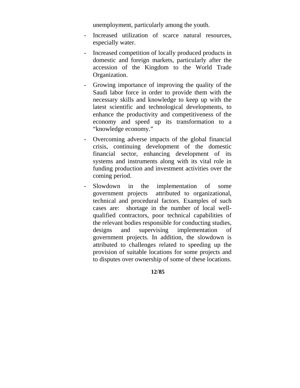unemployment, particularly among the youth.

- Increased utilization of scarce natural resources, especially water.
- Increased competition of locally produced products in domestic and foreign markets, particularly after the accession of the Kingdom to the World Trade Organization.
- Growing importance of improving the quality of the Saudi labor force in order to provide them with the necessary skills and knowledge to keep up with the latest scientific and technological developments, to enhance the productivity and competitiveness of the economy and speed up its transformation to a "knowledge economy."
- Overcoming adverse impacts of the global financial crisis, continuing development of the domestic financial sector, enhancing development of its systems and instruments along with its vital role in funding production and investment activities over the coming period.
- Slowdown in the implementation of some government projects attributed to organizational, technical and procedural factors. Examples of such cases are: shortage in the number of local wellqualified contractors, poor technical capabilities of the relevant bodies responsible for conducting studies, designs and supervising implementation of government projects. In addition, the slowdown is attributed to challenges related to speeding up the provision of suitable locations for some projects and to disputes over ownership of some of these locations.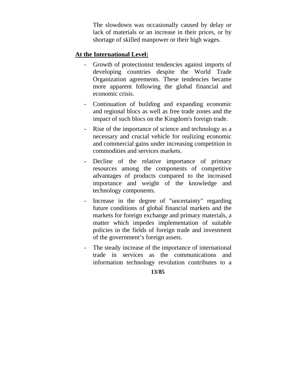The slowdown was occasionally caused by delay or lack of materials or an increase in their prices, or by shortage of skilled manpower or their high wages.

#### **At the International Level:**

- Growth of protectionist tendencies against imports of developing countries despite the World Trade Organization agreements. These tendencies became more apparent following the global financial and economic crisis.
- Continuation of building and expanding economic and regional blocs as well as free trade zones and the impact of such blocs on the Kingdom's foreign trade.
- Rise of the importance of science and technology as a necessary and crucial vehicle for realizing economic and commercial gains under increasing competition in commodities and services markets.
- Decline of the relative importance of primary resources among the components of competitive advantages of products compared to the increased importance and weight of the knowledge and technology components.
- Increase in the degree of "uncertainty" regarding future conditions of global financial markets and the markets for foreign exchange and primary materials, a matter which impedes implementation of suitable policies in the fields of foreign trade and investment of the government's foreign assets.
- The steady increase of the importance of international trade in services as the communications and information technology revolution contributes to a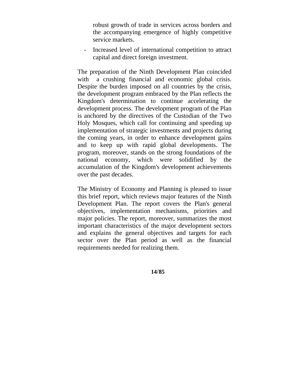robust growth of trade in services across borders and the accompanying emergence of highly competitive service markets.

- Increased level of international competition to attract capital and direct foreign investment.

The preparation of the Ninth Development Plan coincided with a crushing financial and economic global crisis. Despite the burden imposed on all countries by the crisis, the development program embraced by the Plan reflects the Kingdom's determination to continue accelerating the development process. The development program of the Plan is anchored by the directives of the Custodian of the Two Holy Mosques, which call for continuing and speeding up implementation of strategic investments and projects during the coming years, in order to enhance development gains and to keep up with rapid global developments. The program, moreover, stands on the strong foundations of the national economy, which were solidified by the accumulation of the Kingdom's development achievements over the past decades.

The Ministry of Economy and Planning is pleased to issue this brief report, which reviews major features of the Ninth Development Plan. The report covers the Plan's general objectives, implementation mechanisms, priorities and major policies. The report, moreover, summarizes the most important characteristics of the major development sectors and explains the general objectives and targets for each sector over the Plan period as well as the financial requirements needed for realizing them.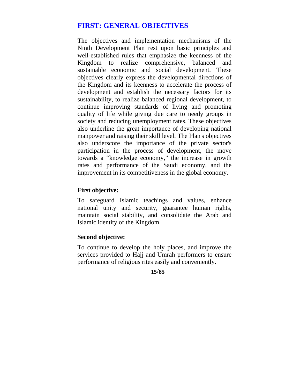# **FIRST: GENERAL OBJECTIVES**

The objectives and implementation mechanisms of the Ninth Development Plan rest upon basic principles and well-established rules that emphasize the keenness of the Kingdom to realize comprehensive, balanced and sustainable economic and social development. These objectives clearly express the developmental directions of the Kingdom and its keenness to accelerate the process of development and establish the necessary factors for its sustainability, to realize balanced regional development, to continue improving standards of living and promoting quality of life while giving due care to needy groups in society and reducing unemployment rates. These objectives also underline the great importance of developing national manpower and raising their skill level. The Plan's objectives also underscore the importance of the private sector's participation in the process of development, the move towards a "knowledge economy," the increase in growth rates and performance of the Saudi economy, and the improvement in its competitiveness in the global economy.

#### **First objective:**

To safeguard Islamic teachings and values, enhance national unity and security, guarantee human rights, maintain social stability, and consolidate the Arab and Islamic identity of the Kingdom.

#### **Second objective:**

To continue to develop the holy places, and improve the services provided to Hajj and Umrah performers to ensure performance of religious rites easily and conveniently.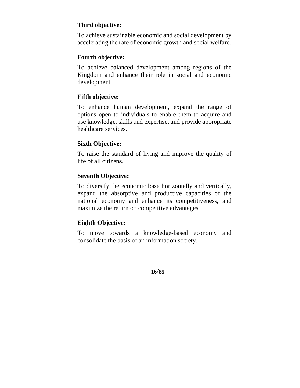# **Third objective:**

To achieve sustainable economic and social development by accelerating the rate of economic growth and social welfare.

# **Fourth objective:**

To achieve balanced development among regions of the Kingdom and enhance their role in social and economic development.

# **Fifth objective:**

To enhance human development, expand the range of options open to individuals to enable them to acquire and use knowledge, skills and expertise, and provide appropriate healthcare services.

# **Sixth Objective:**

To raise the standard of living and improve the quality of life of all citizens.

# **Seventh Objective:**

To diversify the economic base horizontally and vertically, expand the absorptive and productive capacities of the national economy and enhance its competitiveness, and maximize the return on competitive advantages.

# **Eighth Objective:**

To move towards a knowledge-based economy and consolidate the basis of an information society.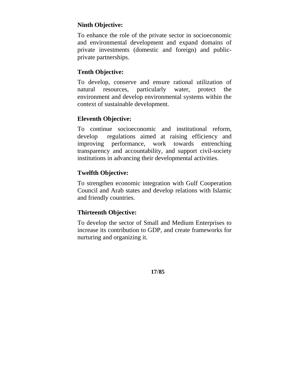# **Ninth Objective:**

To enhance the role of the private sector in socioeconomic and environmental development and expand domains of private investments (domestic and foreign) and publicprivate partnerships.

# **Tenth Objective:**

To develop, conserve and ensure rational utilization of natural resources, particularly water, protect the environment and develop environmental systems within the context of sustainable development.

#### **Eleventh Objective:**

To continue socioeconomic and institutional reform, develop regulations aimed at raising efficiency and improving performance, work towards entrenching transparency and accountability, and support civil-society institutions in advancing their developmental activities.

# **Twelfth Objective:**

To strengthen economic integration with Gulf Cooperation Council and Arab states and develop relations with Islamic and friendly countries.

# **Thirteenth Objective:**

To develop the sector of Small and Medium Enterprises to increase its contribution to GDP, and create frameworks for nurturing and organizing it.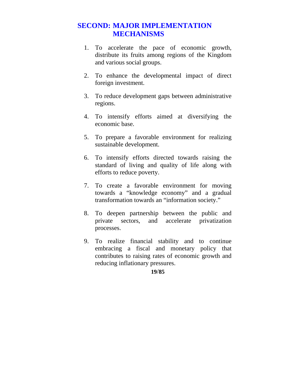# **SECOND: MAJOR IMPLEMENTATION MECHANISMS**

- 1. To accelerate the pace of economic growth, distribute its fruits among regions of the Kingdom and various social groups.
- 2. To enhance the developmental impact of direct foreign investment.
- 3. To reduce development gaps between administrative regions.
- 4. To intensify efforts aimed at diversifying the economic base.
- 5. To prepare a favorable environment for realizing sustainable development.
- 6. To intensify efforts directed towards raising the standard of living and quality of life along with efforts to reduce poverty.
- 7. To create a favorable environment for moving towards a "knowledge economy" and a gradual transformation towards an "information society."
- 8. To deepen partnership between the public and private sectors, and accelerate privatization processes.
- 9. To realize financial stability and to continue embracing a fiscal and monetary policy that contributes to raising rates of economic growth and reducing inflationary pressures.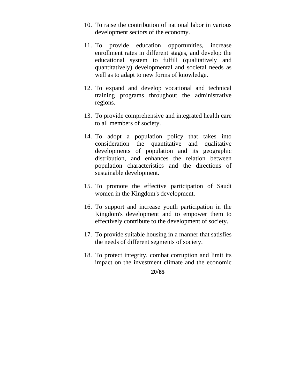- 10. To raise the contribution of national labor in various development sectors of the economy.
- 11. To provide education opportunities, increase enrollment rates in different stages, and develop the educational system to fulfill (qualitatively and quantitatively) developmental and societal needs as well as to adapt to new forms of knowledge.
- 12. To expand and develop vocational and technical training programs throughout the administrative regions.
- 13. To provide comprehensive and integrated health care to all members of society.
- 14. To adopt a population policy that takes into consideration the quantitative and qualitative developments of population and its geographic distribution, and enhances the relation between population characteristics and the directions of sustainable development.
- 15. To promote the effective participation of Saudi women in the Kingdom's development.
- 16. To support and increase youth participation in the Kingdom's development and to empower them to effectively contribute to the development of society.
- 17. To provide suitable housing in a manner that satisfies the needs of different segments of society.
- 18. To protect integrity, combat corruption and limit its impact on the investment climate and the economic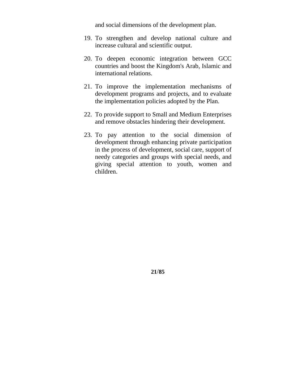and social dimensions of the development plan.

- 19. To strengthen and develop national culture and increase cultural and scientific output.
- 20. To deepen economic integration between GCC countries and boost the Kingdom's Arab, Islamic and international relations.
- 21. To improve the implementation mechanisms of development programs and projects, and to evaluate the implementation policies adopted by the Plan.
- 22. To provide support to Small and Medium Enterprises and remove obstacles hindering their development.
- 23. To pay attention to the social dimension of development through enhancing private participation in the process of development, social care, support of needy categories and groups with special needs, and giving special attention to youth, women and children.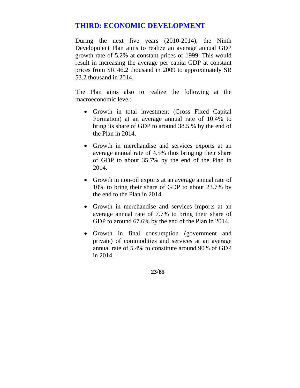# **THIRD: ECONOMIC DEVELOPMENT**

During the next five years (2010-2014), the Ninth Development Plan aims to realize an average annual GDP growth rate of 5.2% at constant prices of 1999. This would result in increasing the average per capita GDP at constant prices from SR 46.2 thousand in 2009 to approximately SR 53.2 thousand in 2014.

The Plan aims also to realize the following at the macroeconomic level:

- Growth in total investment (Gross Fixed Capital Formation) at an average annual rate of 10.4% to bring its share of GDP to around 38.5.% by the end of the Plan in 2014.
- Growth in merchandise and services exports at an average annual rate of 4.5% thus bringing their share of GDP to about 35.7% by the end of the Plan in 2014.
- Growth in non-oil exports at an average annual rate of 10% to bring their share of GDP to about 23.7% by the end to the Plan in 2014.
- Growth in merchandise and services imports at an average annual rate of 7.7% to bring their share of GDP to around 67.6% by the end of the Plan in 2014.
- Growth in final consumption (government and private) of commodities and services at an average annual rate of 5.4% to constitute around 90% of GDP in 2014.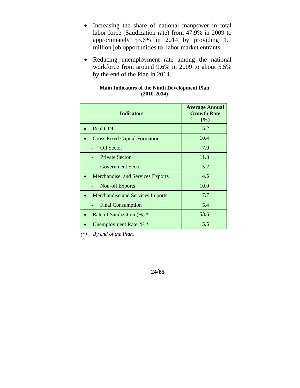- Increasing the share of national manpower in total labor force (Saudization rate) from 47.9% in 2009 to approximately 53.6% in 2014 by providing 1.1 million job opportunities to labor market entrants.
- Reducing unemployment rate among the national workforce from around 9.6% in 2009 to about 5.5% by the end of the Plan in 2014.

| <b>Main Indicators of the Ninth Development Plan</b> |  |  |  |  |  |  |
|------------------------------------------------------|--|--|--|--|--|--|
| $(2010-2014)$                                        |  |  |  |  |  |  |

| <b>Indicators</b>                       | <b>Average Annual</b><br><b>Growth Rate</b><br>(%) |
|-----------------------------------------|----------------------------------------------------|
| <b>Real GDP</b>                         | 5.2                                                |
| <b>Gross Fixed Capital Formation</b>    | 10.4                                               |
| Oil Sector                              | 7.9                                                |
| <b>Private Sector</b>                   | 11.8                                               |
| <b>Government Sector</b>                | 5.2                                                |
| Merchandise and Services Exports        | 4.5                                                |
| Non-oil Exports                         | 10.0                                               |
| <b>Merchandise and Services Imports</b> | 7.7                                                |
| <b>Final Consumption</b>                | 5.4                                                |
| Rate of Saudization $(\%)$ *            | 53.6                                               |
| Unemployment Rate % *                   | 5.5                                                |

 *(\*) By end of the Plan.*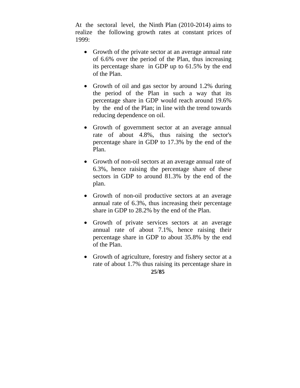At the sectoral level, the Ninth Plan (2010-2014) aims to realize the following growth rates at constant prices of 1999:

- Growth of the private sector at an average annual rate of 6.6% over the period of the Plan, thus increasing its percentage share in GDP up to 61.5% by the end of the Plan.
- Growth of oil and gas sector by around 1.2% during the period of the Plan in such a way that its percentage share in GDP would reach around 19.6% by the end of the Plan; in line with the trend towards reducing dependence on oil.
- Growth of government sector at an average annual rate of about 4.8%, thus raising the sector's percentage share in GDP to 17.3% by the end of the Plan.
- Growth of non-oil sectors at an average annual rate of 6.3%, hence raising the percentage share of these sectors in GDP to around 81.3% by the end of the plan.
- Growth of non-oil productive sectors at an average annual rate of 6.3%, thus increasing their percentage share in GDP to 28.2% by the end of the Plan.
- Growth of private services sectors at an average annual rate of about 7.1%, hence raising their percentage share in GDP to about 35.8% by the end of the Plan.
- Growth of agriculture, forestry and fishery sector at a rate of about 1.7% thus raising its percentage share in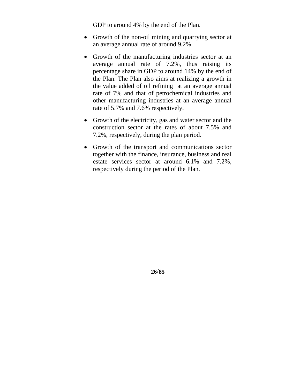GDP to around 4% by the end of the Plan.

- Growth of the non-oil mining and quarrying sector at an average annual rate of around 9.2%.
- Growth of the manufacturing industries sector at an average annual rate of 7.2%, thus raising its percentage share in GDP to around 14% by the end of the Plan. The Plan also aims at realizing a growth in the value added of oil refining at an average annual rate of 7% and that of petrochemical industries and other manufacturing industries at an average annual rate of 5.7% and 7.6% respectively.
- Growth of the electricity, gas and water sector and the construction sector at the rates of about 7.5% and 7.2%, respectively, during the plan period.
- Growth of the transport and communications sector together with the finance, insurance, business and real estate services sector at around 6.1% and 7.2%, respectively during the period of the Plan.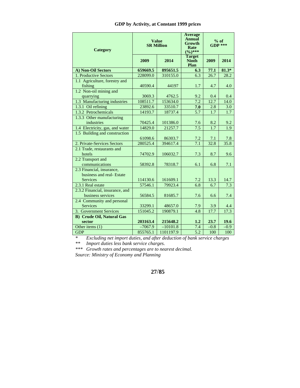#### **GDP by Activity, at Constant 1999 prices**

| Category                                   | <b>Value</b><br><b>SR Million</b> |            | <b>Average</b><br>Annual<br>Growth<br>Rate<br>$(9/0)***$ | $%$ of<br>$GDP$ *** |         |
|--------------------------------------------|-----------------------------------|------------|----------------------------------------------------------|---------------------|---------|
|                                            | 2009                              | 2014       | <b>Target</b><br><b>Ninth</b><br>Plan                    | 2009                | 2014    |
| A) Non-Oil Sectors                         | 659669.5                          | 895651.5   | 6.3                                                      | 77.1                | $81.3*$ |
| 1. Productive Sectors                      | 228099.0                          | 310155.0   | 6.3                                                      | 26.7                | 28.2    |
| 1.1 Agriculture, forestry and<br>fishing   | 40590.4                           | 44197      | 1.7                                                      | 4.7                 | 4.0     |
| 1.2 Non-oil mining and                     |                                   |            |                                                          |                     |         |
| quarrying                                  | 3069.3                            | 4762.5     | 9.2                                                      | 0.4                 | 0.4     |
| 1.3 Manufacturing industries               | 108511.7                          | 153634.0   | 7.2                                                      | 12.7                | 14.0    |
| $1.3.1$ Oil refining                       | 23892.6                           | 33510.7    | 7.0                                                      | 2.8                 | 3.0     |
| 1.3.2 Petrochemicals                       | 14193.7                           | 18737.4    | 5.7                                                      | 1.7                 | 1.7     |
| $1.3.3$ Other manufacturing                |                                   |            |                                                          |                     |         |
| industries                                 | 70425.4                           | 101386.0   | 7.6                                                      | 8.2                 | 9.2     |
| 1.4 Electricity, gas, and water            | 14829.0                           | 21257.7    | 7.5                                                      | 1.7                 | 1.9     |
| 1.5 Building and construction              | 61098.6                           | 86303.7    | 7.2                                                      | 7.1                 | 7.8     |
| 2. Private-Services Sectors                | 280525.4                          | 394617.4   | 7.1                                                      | 32.8                | 35.8    |
| 2.1 Trade, restaurants and<br>hotels       | 74702.9                           | 106032.7   | 7.3                                                      | 8.7                 | 9.6     |
| 2.2 Transport and<br>communications        | 58392.8                           | 78318.7    | 6.1                                                      | 6.8                 | 7.1     |
| 2.3 Financial, insurance,                  |                                   |            |                                                          |                     |         |
| business and real-Estate                   |                                   |            |                                                          |                     |         |
| <b>Services</b>                            | 114130.6                          | 161609.1   | 7.2                                                      | 13.3                | 14.7    |
| 2.3.1 Real estate                          | 57546.1                           | 79923.4    | 6.8                                                      | 6.7                 | 7.3     |
| 2.3.2 Financial, insurance, and            |                                   |            |                                                          |                     |         |
| business services                          | 56584.5                           | 81685.7    | 7.6                                                      | 6.6                 | 7.4     |
| 2.4 Community and personal                 |                                   |            |                                                          |                     |         |
| <b>Services</b>                            | 33299.1                           | 48657.0    | 7.9                                                      | 3.9                 | 4.4     |
| 3. Government Services                     | 151045.2                          | 190879.1   | 4.8                                                      | 17.7                | 17.3    |
| <b>B)</b> Crude Oil, Natural Gas<br>sector | 203163.4                          | 215648.2   | 1.2                                                      | 23.7                | 19.6    |
| Other items (1)                            | $-7067.9$                         | $-10101.8$ | 7.4                                                      | $-0.8$              | $-0.9$  |
| <b>GDP</b>                                 | 855765.1                          | 1101197.9  | 5.2                                                      | 100                 | 100     |

*\* Excluding net import duties, and after deduction of bank service charges* 

*\*\* Import duties less bank service charges.* 

*\*\*\* Growth rates and percentages are to nearest decimal. Source: Ministry of Economy and Planning*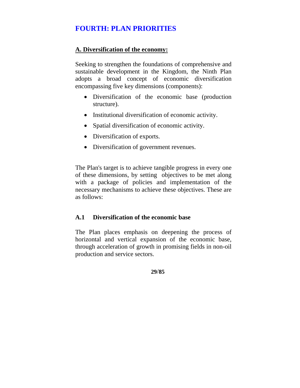# **FOURTH: PLAN PRIORITIES**

#### **A. Diversification of the economy:**

Seeking to strengthen the foundations of comprehensive and sustainable development in the Kingdom, the Ninth Plan adopts a broad concept of economic diversification encompassing five key dimensions (components):

- Diversification of the economic base (production structure).
- Institutional diversification of economic activity.
- Spatial diversification of economic activity.
- Diversification of exports.
- Diversification of government revenues.

The Plan's target is to achieve tangible progress in every one of these dimensions, by setting objectives to be met along with a package of policies and implementation of the necessary mechanisms to achieve these objectives. These are as follows:

#### **A.1 Diversification of the economic base**

The Plan places emphasis on deepening the process of horizontal and vertical expansion of the economic base, through acceleration of growth in promising fields in non-oil production and service sectors.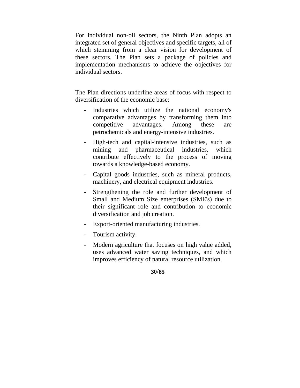For individual non-oil sectors, the Ninth Plan adopts an integrated set of general objectives and specific targets, all of which stemming from a clear vision for development of these sectors. The Plan sets a package of policies and implementation mechanisms to achieve the objectives for individual sectors.

The Plan directions underline areas of focus with respect to diversification of the economic base:

- Industries which utilize the national economy's comparative advantages by transforming them into competitive advantages. Among these are petrochemicals and energy-intensive industries.
- High-tech and capital-intensive industries, such as mining and pharmaceutical industries, which contribute effectively to the process of moving towards a knowledge-based economy.
- Capital goods industries, such as mineral products, machinery, and electrical equipment industries.
- Strengthening the role and further development of Small and Medium Size enterprises (SME's) due to their significant role and contribution to economic diversification and job creation.
- Export-oriented manufacturing industries.
- Tourism activity.
- Modern agriculture that focuses on high value added, uses advanced water saving techniques, and which improves efficiency of natural resource utilization.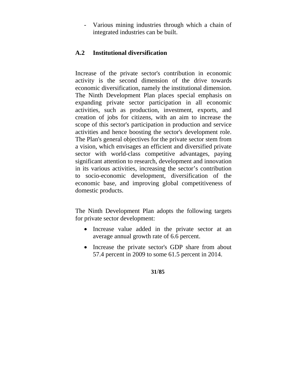Various mining industries through which a chain of integrated industries can be built.

#### **A.2 Institutional diversification**

Increase of the private sector's contribution in economic activity is the second dimension of the drive towards economic diversification, namely the institutional dimension. The Ninth Development Plan places special emphasis on expanding private sector participation in all economic activities, such as production, investment, exports, and creation of jobs for citizens, with an aim to increase the scope of this sector's participation in production and service activities and hence boosting the sector's development role. The Plan's general objectives for the private sector stem from a vision, which envisages an efficient and diversified private sector with world-class competitive advantages, paying significant attention to research, development and innovation in its various activities, increasing the sector's contribution to socio-economic development, diversification of the economic base, and improving global competitiveness of domestic products.

The Ninth Development Plan adopts the following targets for private sector development:

- Increase value added in the private sector at an average annual growth rate of 6.6 percent.
- Increase the private sector's GDP share from about 57.4 percent in 2009 to some 61.5 percent in 2014.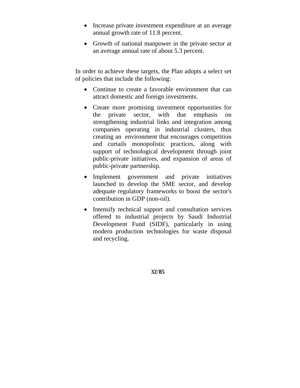- Increase private investment expenditure at an average annual growth rate of 11.8 percent.
- Growth of national manpower in the private sector at an average annual rate of about 5.3 percent.

In order to achieve these targets, the Plan adopts a select set of policies that include the following:

- Continue to create a favorable environment that can attract domestic and foreign investments.
- Create more promising investment opportunities for the private sector, with due emphasis on strengthening industrial links and integration among companies operating in industrial clusters, thus creating an environment that encourages competition and curtails monopolistic practices, along with support of technological development through joint public-private initiatives, and expansion of areas of public-private partnership.
- Implement government and private initiatives launched to develop the SME sector, and develop adequate regulatory frameworks to boost the sector's contribution in GDP (non-oil).
- Intensify technical support and consultation services offered to industrial projects by Saudi Industrial Development Fund (SIDF), particularly in using modern production technologies for waste disposal and recycling.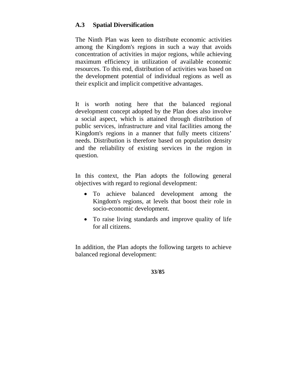#### **A.3 Spatial Diversification**

The Ninth Plan was keen to distribute economic activities among the Kingdom's regions in such a way that avoids concentration of activities in major regions, while achieving maximum efficiency in utilization of available economic resources. To this end, distribution of activities was based on the development potential of individual regions as well as their explicit and implicit competitive advantages.

It is worth noting here that the balanced regional development concept adopted by the Plan does also involve a social aspect, which is attained through distribution of public services, infrastructure and vital facilities among the Kingdom's regions in a manner that fully meets citizens' needs. Distribution is therefore based on population density and the reliability of existing services in the region in question.

In this context, the Plan adopts the following general objectives with regard to regional development:

- To achieve balanced development among the Kingdom's regions, at levels that boost their role in socio-economic development.
- To raise living standards and improve quality of life for all citizens.

In addition, the Plan adopts the following targets to achieve balanced regional development: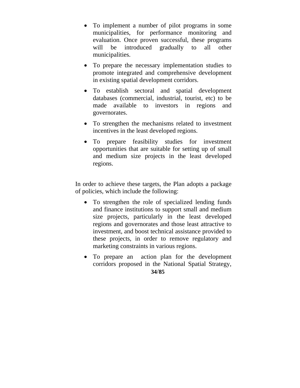- To implement a number of pilot programs in some municipalities, for performance monitoring and evaluation. Once proven successful, these programs will be introduced gradually to all other municipalities.
- To prepare the necessary implementation studies to promote integrated and comprehensive development in existing spatial development corridors.
- To establish sectoral and spatial development databases (commercial, industrial, tourist, etc) to be made available to investors in regions and governorates.
- To strengthen the mechanisms related to investment incentives in the least developed regions.
- To prepare feasibility studies for investment opportunities that are suitable for setting up of small and medium size projects in the least developed regions.

In order to achieve these targets, the Plan adopts a package of policies, which include the following:

- To strengthen the role of specialized lending funds and finance institutions to support small and medium size projects, particularly in the least developed regions and governorates and those least attractive to investment, and boost technical assistance provided to these projects, in order to remove regulatory and marketing constraints in various regions.
- To prepare an action plan for the development corridors proposed in the National Spatial Strategy,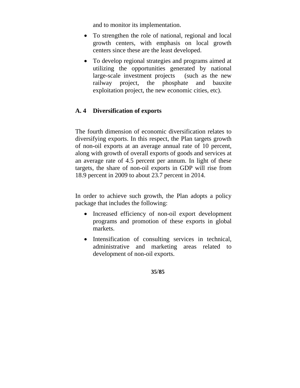and to monitor its implementation.

- To strengthen the role of national, regional and local growth centers, with emphasis on local growth centers since these are the least developed.
- To develop regional strategies and programs aimed at utilizing the opportunities generated by national large-scale investment projects (such as the new railway project, the phosphate and bauxite exploitation project, the new economic cities, etc).

# **A. 4 Diversification of exports**

The fourth dimension of economic diversification relates to diversifying exports. In this respect, the Plan targets growth of non-oil exports at an average annual rate of 10 percent, along with growth of overall exports of goods and services at an average rate of 4.5 percent per annum. In light of these targets, the share of non-oil exports in GDP will rise from 18.9 percent in 2009 to about 23.7 percent in 2014.

In order to achieve such growth, the Plan adopts a policy package that includes the following:

- Increased efficiency of non-oil export development programs and promotion of these exports in global markets.
- Intensification of consulting services in technical, administrative and marketing areas related to development of non-oil exports.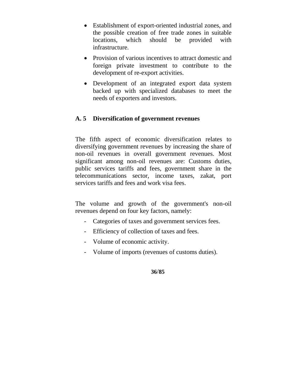- Establishment of export-oriented industrial zones, and the possible creation of free trade zones in suitable locations, which should be provided with infrastructure.
- Provision of various incentives to attract domestic and foreign private investment to contribute to the development of re-export activities.
- Development of an integrated export data system backed up with specialized databases to meet the needs of exporters and investors.

#### **A. 5 Diversification of government revenues**

The fifth aspect of economic diversification relates to diversifying government revenues by increasing the share of non-oil revenues in overall government revenues. Most significant among non-oil revenues are: Customs duties, public services tariffs and fees, government share in the telecommunications sector, income taxes, zakat, port services tariffs and fees and work visa fees.

The volume and growth of the government's non-oil revenues depend on four key factors, namely:

- Categories of taxes and government services fees.
- Efficiency of collection of taxes and fees.
- Volume of economic activity.
- Volume of imports (revenues of customs duties).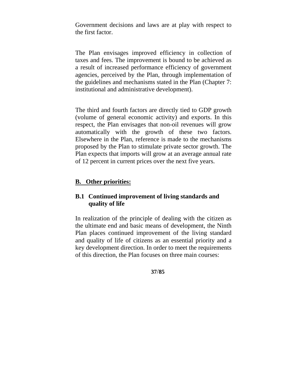Government decisions and laws are at play with respect to the first factor.

The Plan envisages improved efficiency in collection of taxes and fees. The improvement is bound to be achieved as a result of increased performance efficiency of government agencies, perceived by the Plan, through implementation of the guidelines and mechanisms stated in the Plan (Chapter 7: institutional and administrative development).

The third and fourth factors are directly tied to GDP growth (volume of general economic activity) and exports. In this respect, the Plan envisages that non-oil revenues will grow automatically with the growth of these two factors. Elsewhere in the Plan, reference is made to the mechanisms proposed by the Plan to stimulate private sector growth. The Plan expects that imports will grow at an average annual rate of 12 percent in current prices over the next five years.

## **B. Other priorities:**

## **B.1 Continued improvement of living standards and quality of life**

In realization of the principle of dealing with the citizen as the ultimate end and basic means of development, the Ninth Plan places continued improvement of the living standard and quality of life of citizens as an essential priority and a key development direction. In order to meet the requirements of this direction, the Plan focuses on three main courses: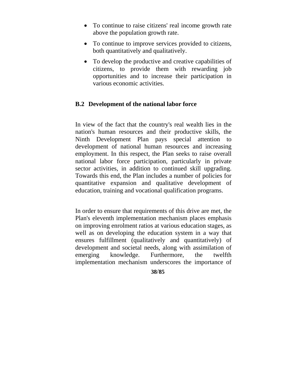- To continue to raise citizens' real income growth rate above the population growth rate.
- To continue to improve services provided to citizens, both quantitatively and qualitatively.
- To develop the productive and creative capabilities of citizens, to provide them with rewarding job opportunities and to increase their participation in various economic activities.

## **B.2 Development of the national labor force**

In view of the fact that the country's real wealth lies in the nation's human resources and their productive skills, the Ninth Development Plan pays special attention to development of national human resources and increasing employment. In this respect, the Plan seeks to raise overall national labor force participation, particularly in private sector activities, in addition to continued skill upgrading. Towards this end, the Plan includes a number of policies for quantitative expansion and qualitative development of education, training and vocational qualification programs.

In order to ensure that requirements of this drive are met, the Plan's eleventh implementation mechanism places emphasis on improving enrolment ratios at various education stages, as well as on developing the education system in a way that ensures fulfillment (qualitatively and quantitatively) of development and societal needs, along with assimilation of emerging knowledge. Furthermore, the twelfth implementation mechanism underscores the importance of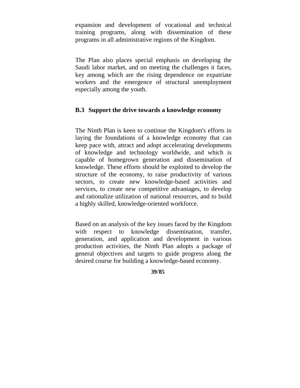expansion and development of vocational and technical training programs, along with dissemination of these programs in all administrative regions of the Kingdom.

The Plan also places special emphasis on developing the Saudi labor market, and on meeting the challenges it faces, key among which are the rising dependence on expatriate workers and the emergence of structural unemployment especially among the youth.

### **B.3 Support the drive towards a knowledge economy**

The Ninth Plan is keen to continue the Kingdom's efforts in laying the foundations of a knowledge economy that can keep pace with, attract and adopt accelerating developments of knowledge and technology worldwide, and which is capable of homegrown generation and dissemination of knowledge. These efforts should be exploited to develop the structure of the economy, to raise productivity of various sectors, to create new knowledge-based activities and services, to create new competitive advantages, to develop and rationalize utilization of national resources, and to build a highly skilled, knowledge-oriented workforce.

Based on an analysis of the key issues faced by the Kingdom with respect to knowledge dissemination, transfer, generation, and application and development in various production activities, the Ninth Plan adopts a package of general objectives and targets to guide progress along the desired course for building a knowledge-based economy.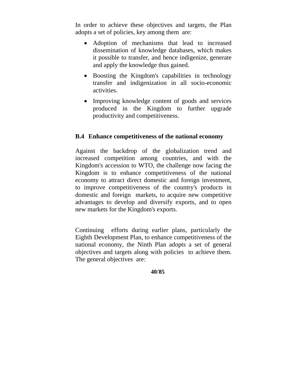In order to achieve these objectives and targets, the Plan adopts a set of policies, key among them are:

- Adoption of mechanisms that lead to increased dissemination of knowledge databases, which makes it possible to transfer, and hence indigenize, generate and apply the knowledge thus gained.
- Boosting the Kingdom's capabilities in technology transfer and indigenization in all socio-economic activities.
- Improving knowledge content of goods and services produced in the Kingdom to further upgrade productivity and competitiveness.

## **B.4 Enhance competitiveness of the national economy**

Against the backdrop of the globalization trend and increased competition among countries, and with the Kingdom's accession to WTO, the challenge now facing the Kingdom is to enhance competitiveness of the national economy to attract direct domestic and foreign investment, to improve competitiveness of the country's products in domestic and foreign markets, to acquire new competitive advantages to develop and diversify exports, and to open new markets for the Kingdom's exports.

Continuing efforts during earlier plans, particularly the Eighth Development Plan, to enhance competitiveness of the national economy, the Ninth Plan adopts a set of general objectives and targets along with policies to achieve them. The general objectives are: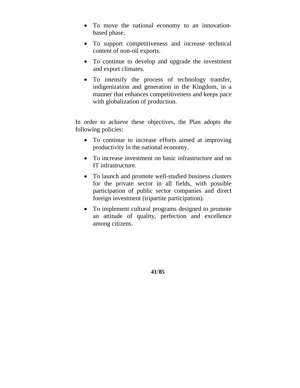- To move the national economy to an innovationbased phase.
- To support competitiveness and increase technical content of non-oil exports.
- To continue to develop and upgrade the investment and export climates.
- To intensify the process of technology transfer, indigenization and generation in the Kingdom, in a manner that enhances competitiveness and keeps pace with globalization of production.

In order to achieve these objectives, the Plan adopts the following policies:

- To continue to increase efforts aimed at improving productivity in the national economy.
- To increase investment on basic infrastructure and on IT infrastructure.
- To launch and promote well-studied business clusters for the private sector in all fields, with possible participation of public sector companies and direct foreign investment (tripartite participation).
- To implement cultural programs designed to promote an attitude of quality, perfection and excellence among citizens.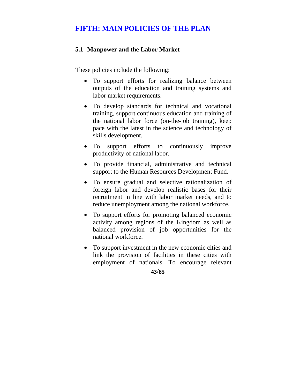# **FIFTH: MAIN POLICIES OF THE PLAN**

## **5.1 Manpower and the Labor Market**

These policies include the following:

- To support efforts for realizing balance between outputs of the education and training systems and labor market requirements.
- To develop standards for technical and vocational training, support continuous education and training of the national labor force (on-the-job training), keep pace with the latest in the science and technology of skills development.
- To support efforts to continuously improve productivity of national labor.
- To provide financial, administrative and technical support to the Human Resources Development Fund.
- To ensure gradual and selective rationalization of foreign labor and develop realistic bases for their recruitment in line with labor market needs, and to reduce unemployment among the national workforce.
- To support efforts for promoting balanced economic activity among regions of the Kingdom as well as balanced provision of job opportunities for the national workforce.
- To support investment in the new economic cities and link the provision of facilities in these cities with employment of nationals. To encourage relevant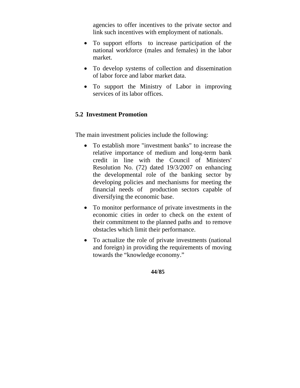agencies to offer incentives to the private sector and link such incentives with employment of nationals.

- To support efforts to increase participation of the national workforce (males and females) in the labor market.
- To develop systems of collection and dissemination of labor force and labor market data.
- To support the Ministry of Labor in improving services of its labor offices.

## **5.2 Investment Promotion**

The main investment policies include the following:

- To establish more "investment banks" to increase the relative importance of medium and long-term bank credit in line with the Council of Ministers' Resolution No. (72) dated 19/3/2007 on enhancing the developmental role of the banking sector by developing policies and mechanisms for meeting the financial needs of production sectors capable of diversifying the economic base.
- To monitor performance of private investments in the economic cities in order to check on the extent of their commitment to the planned paths and to remove obstacles which limit their performance.
- To actualize the role of private investments (national and foreign) in providing the requirements of moving towards the "knowledge economy."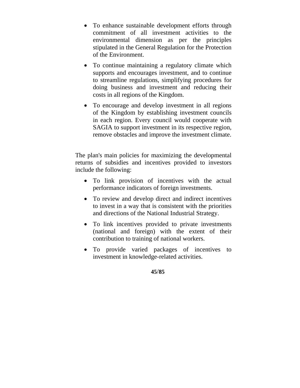- To enhance sustainable development efforts through commitment of all investment activities to the environmental dimension as per the principles stipulated in the General Regulation for the Protection of the Environment.
- To continue maintaining a regulatory climate which supports and encourages investment, and to continue to streamline regulations, simplifying procedures for doing business and investment and reducing their costs in all regions of the Kingdom.
- To encourage and develop investment in all regions of the Kingdom by establishing investment councils in each region. Every council would cooperate with SAGIA to support investment in its respective region, remove obstacles and improve the investment climate.

The plan's main policies for maximizing the developmental returns of subsidies and incentives provided to investors include the following:

- To link provision of incentives with the actual performance indicators of foreign investments.
- To review and develop direct and indirect incentives to invest in a way that is consistent with the priorities and directions of the National Industrial Strategy.
- To link incentives provided to private investments (national and foreign) with the extent of their contribution to training of national workers.
- To provide varied packages of incentives to investment in knowledge-related activities.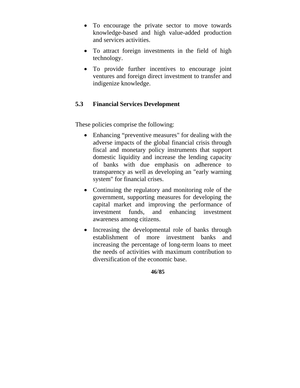- To encourage the private sector to move towards knowledge-based and high value-added production and services activities.
- To attract foreign investments in the field of high technology.
- To provide further incentives to encourage joint ventures and foreign direct investment to transfer and indigenize knowledge.

## **5.3 Financial Services Development**

These policies comprise the following:

- Enhancing "preventive measures" for dealing with the adverse impacts of the global financial crisis through fiscal and monetary policy instruments that support domestic liquidity and increase the lending capacity of banks with due emphasis on adherence to transparency as well as developing an "early warning system" for financial crises.
- Continuing the regulatory and monitoring role of the government, supporting measures for developing the capital market and improving the performance of investment funds, and enhancing investment awareness among citizens.
- Increasing the developmental role of banks through establishment of more investment banks and increasing the percentage of long-term loans to meet the needs of activities with maximum contribution to diversification of the economic base.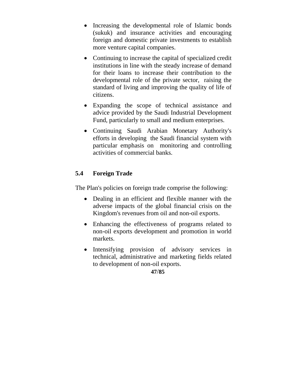- Increasing the developmental role of Islamic bonds (sukuk) and insurance activities and encouraging foreign and domestic private investments to establish more venture capital companies.
- Continuing to increase the capital of specialized credit institutions in line with the steady increase of demand for their loans to increase their contribution to the developmental role of the private sector, raising the standard of living and improving the quality of life of citizens.
- Expanding the scope of technical assistance and advice provided by the Saudi Industrial Development Fund, particularly to small and medium enterprises.
- Continuing Saudi Arabian Monetary Authority's efforts in developing the Saudi financial system with particular emphasis on monitoring and controlling activities of commercial banks.

## **5.4 Foreign Trade**

The Plan's policies on foreign trade comprise the following:

- Dealing in an efficient and flexible manner with the adverse impacts of the global financial crisis on the Kingdom's revenues from oil and non-oil exports.
- Enhancing the effectiveness of programs related to non-oil exports development and promotion in world markets.
- Intensifying provision of advisory services in technical, administrative and marketing fields related to development of non-oil exports.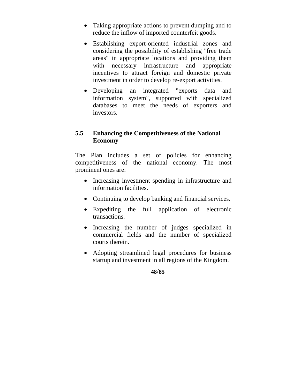- Taking appropriate actions to prevent dumping and to reduce the inflow of imported counterfeit goods.
- Establishing export-oriented industrial zones and considering the possibility of establishing "free trade areas" in appropriate locations and providing them with necessary infrastructure and appropriate incentives to attract foreign and domestic private investment in order to develop re-export activities.
- Developing an integrated "exports data and information system", supported with specialized databases to meet the needs of exporters and investors.

## **5.5 Enhancing the Competitiveness of the National Economy**

The Plan includes a set of policies for enhancing competitiveness of the national economy. The most prominent ones are:

- Increasing investment spending in infrastructure and information facilities.
- Continuing to develop banking and financial services.
- Expediting the full application of electronic transactions.
- Increasing the number of judges specialized in commercial fields and the number of specialized courts therein.
- Adopting streamlined legal procedures for business startup and investment in all regions of the Kingdom.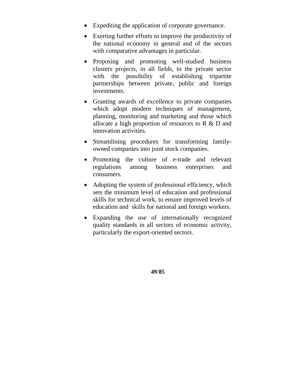- Expediting the application of corporate governance.
- Exerting further efforts to improve the productivity of the national economy in general and of the sectors with comparative advantages in particular.
- Proposing and promoting well-studied business clusters projects, in all fields, to the private sector with the possibility of establishing tripartite partnerships between private, public and foreign investments.
- Granting awards of excellence to private companies which adopt modern techniques of management, planning, monitoring and marketing and those which allocate a high proportion of resources to R & D and innovation activities.
- Streamlining procedures for transforming familyowned companies into joint stock companies.
- Promoting the culture of e-trade and relevant regulations among business enterprises and consumers.
- Adopting the system of professional efficiency, which sets the minimum level of education and professional skills for technical work, to ensure improved levels of education and skills for national and foreign workers.
- Expanding the use of internationally recognized quality standards in all sectors of economic activity, particularly the export-oriented sectors.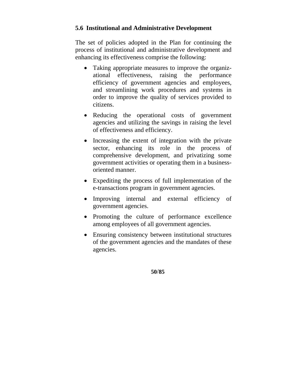## **5.6 Institutional and Administrative Development**

The set of policies adopted in the Plan for continuing the process of institutional and administrative development and enhancing its effectiveness comprise the following:

- Taking appropriate measures to improve the organizational effectiveness, raising the performance efficiency of government agencies and employees, and streamlining work procedures and systems in order to improve the quality of services provided to citizens.
- Reducing the operational costs of government agencies and utilizing the savings in raising the level of effectiveness and efficiency.
- Increasing the extent of integration with the private sector, enhancing its role in the process of comprehensive development, and privatizing some government activities or operating them in a businessoriented manner.
- Expediting the process of full implementation of the e-transactions program in government agencies.
- Improving internal and external efficiency of government agencies.
- Promoting the culture of performance excellence among employees of all government agencies.
- Ensuring consistency between institutional structures of the government agencies and the mandates of these agencies.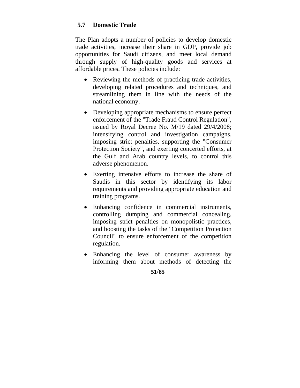## **5.7 Domestic Trade**

The Plan adopts a number of policies to develop domestic trade activities, increase their share in GDP, provide job opportunities for Saudi citizens, and meet local demand through supply of high-quality goods and services at affordable prices. These policies include:

- Reviewing the methods of practicing trade activities, developing related procedures and techniques, and streamlining them in line with the needs of the national economy.
- Developing appropriate mechanisms to ensure perfect enforcement of the "Trade Fraud Control Regulation", issued by Royal Decree No. M/19 dated 29/4/2008; intensifying control and investigation campaigns, imposing strict penalties, supporting the "Consumer Protection Society", and exerting concerted efforts, at the Gulf and Arab country levels, to control this adverse phenomenon.
- Exerting intensive efforts to increase the share of Saudis in this sector by identifying its labor requirements and providing appropriate education and training programs.
- Enhancing confidence in commercial instruments, controlling dumping and commercial concealing, imposing strict penalties on monopolistic practices, and boosting the tasks of the "Competition Protection Council" to ensure enforcement of the competition regulation.
- Enhancing the level of consumer awareness by informing them about methods of detecting the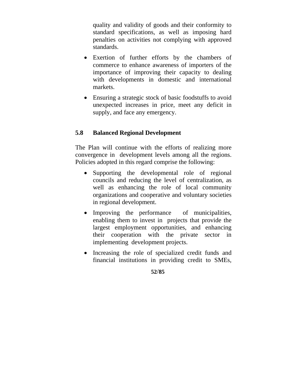quality and validity of goods and their conformity to standard specifications, as well as imposing hard penalties on activities not complying with approved standards.

- Exertion of further efforts by the chambers of commerce to enhance awareness of importers of the importance of improving their capacity to dealing with developments in domestic and international markets.
- Ensuring a strategic stock of basic foodstuffs to avoid unexpected increases in price, meet any deficit in supply, and face any emergency.

## **5.8 Balanced Regional Development**

The Plan will continue with the efforts of realizing more convergence in development levels among all the regions. Policies adopted in this regard comprise the following:

- Supporting the developmental role of regional councils and reducing the level of centralization, as well as enhancing the role of local community organizations and cooperative and voluntary societies in regional development.
- Improving the performance of municipalities, enabling them to invest in projects that provide the largest employment opportunities, and enhancing their cooperation with the private sector in implementing development projects.
- Increasing the role of specialized credit funds and financial institutions in providing credit to SMEs,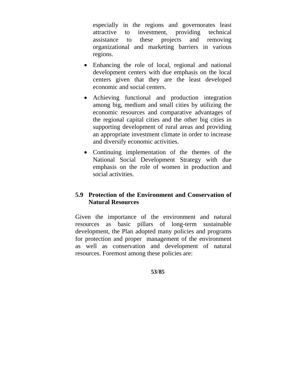especially in the regions and governorates least attractive to investment, providing technical assistance to these projects and removing organizational and marketing barriers in various regions.

- Enhancing the role of local, regional and national development centers with due emphasis on the local centers given that they are the least developed economic and social centers.
- Achieving functional and production integration among big, medium and small cities by utilizing the economic resources and comparative advantages of the regional capital cities and the other big cities in supporting development of rural areas and providing an appropriate investment climate in order to increase and diversify economic activities.
- Continuing implementation of the themes of the National Social Development Strategy with due emphasis on the role of women in production and social activities.

## **5.9 Protection of the Environment and Conservation of Natural Resources**

Given the importance of the environment and natural resources as basic pillars of long-term sustainable development, the Plan adopted many policies and programs for protection and proper management of the environment as well as conservation and development of natural resources. Foremost among these policies are: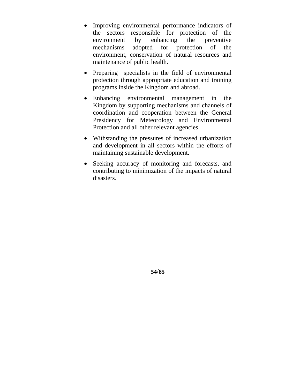- Improving environmental performance indicators of the sectors responsible for protection of the environment by enhancing the preventive mechanisms adopted for protection of the environment, conservation of natural resources and maintenance of public health.
- Preparing specialists in the field of environmental protection through appropriate education and training programs inside the Kingdom and abroad.
- Enhancing environmental management in the Kingdom by supporting mechanisms and channels of coordination and cooperation between the General Presidency for Meteorology and Environmental Protection and all other relevant agencies.
- Withstanding the pressures of increased urbanization and development in all sectors within the efforts of maintaining sustainable development.
- Seeking accuracy of monitoring and forecasts, and contributing to minimization of the impacts of natural disasters.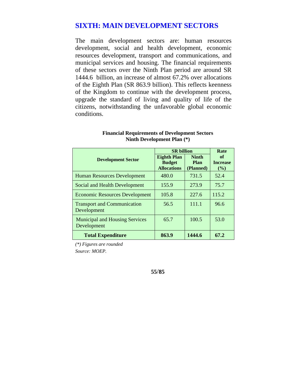## **SIXTH: MAIN DEVELOPMENT SECTORS**

The main development sectors are: human resources development, social and health development, economic resources development, transport and communications, and municipal services and housing. The financial requirements of these sectors over the Ninth Plan period are around SR 1444.6 billion, an increase of almost 67.2% over allocations of the Eighth Plan (SR 863.9 billion). This reflects keenness of the Kingdom to continue with the development process, upgrade the standard of living and quality of life of the citizens, notwithstanding the unfavorable global economic conditions.

|                                                      | <b>SR</b> billion                                         |                                          | Rate                         |
|------------------------------------------------------|-----------------------------------------------------------|------------------------------------------|------------------------------|
| <b>Development Sector</b>                            | <b>Eighth Plan</b><br><b>Budget</b><br><b>Allocations</b> | <b>Ninth</b><br><b>Plan</b><br>(Planned) | of<br><b>Increase</b><br>(%) |
| <b>Human Resources Development</b>                   | 480.0                                                     | 731.5                                    | 52.4                         |
| Social and Health Development                        | 155.9                                                     | 273.9                                    | 75.7                         |
| <b>Economic Resources Development</b>                | 105.8                                                     | 227.6                                    | 115.2                        |
| <b>Transport and Communication</b><br>Development    | 56.5                                                      | 111.1                                    | 96.6                         |
| <b>Municipal and Housing Services</b><br>Development | 65.7                                                      | 100.5                                    | 53.0                         |
| <b>Total Expenditure</b>                             | 863.9                                                     | 1444.6                                   | 67.2                         |

**Financial Requirements of Development Sectors Ninth Development Plan (\*)** 

*(\*) Figures are rounded Source: MOEP.*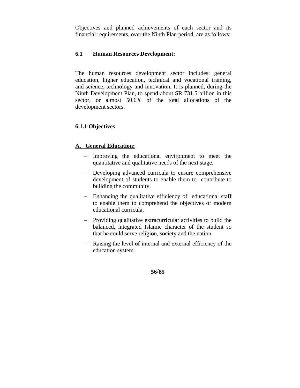Objectives and planned achievements of each sector and its financial requirements, over the Ninth Plan period, are as follows:

#### **6.1 Human Resources Development:**

The human resources development sector includes: general education, higher education, technical and vocational training, and science, technology and innovation. It is planned, during the Ninth Development Plan, to spend about SR 731.5 billion in this sector, or almost 50.6% of the total allocations of the development sectors.

#### **6.1.1 Objectives**

#### **A. General Education:**

- Improving the educational environment to meet the quantitative and qualitative needs of the next stage.
- Developing advanced curricula to ensure comprehensive development of students to enable them to contribute to building the community.
- Enhancing the qualitative efficiency of educational staff to enable them to comprehend the objectives of modern educational curricula.
- Providing qualitative extracurricular activities to build the balanced, integrated Islamic character of the student so that he could serve religion, society and the nation.
- Raising the level of internal and external efficiency of the education system.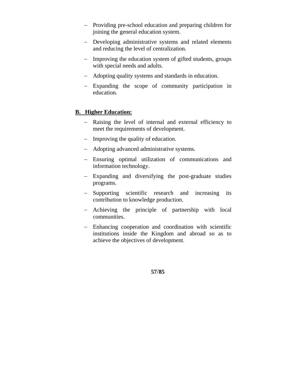- Providing pre-school education and preparing children for joining the general education system.
- Developing administrative systems and related elements and reducing the level of centralization.
- Improving the education system of gifted students, groups with special needs and adults.
- Adopting quality systems and standards in education.
- Expanding the scope of community participation in education.

### **B. Higher Education:**

- Raising the level of internal and external efficiency to meet the requirements of development.
- Improving the quality of education.
- Adopting advanced administrative systems.
- Ensuring optimal utilization of communications and information technology.
- Expanding and diversifying the post-graduate studies programs.
- Supporting scientific research and increasing its contribution to knowledge production.
- Achieving the principle of partnership with local communities.
- Enhancing cooperation and coordination with scientific institutions inside the Kingdom and abroad so as to achieve the objectives of development.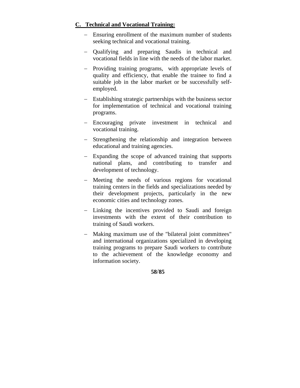### **C. Technical and Vocational Training:**

- Ensuring enrollment of the maximum number of students seeking technical and vocational training.
- Qualifying and preparing Saudis in technical and vocational fields in line with the needs of the labor market.
- Providing training programs, with appropriate levels of quality and efficiency, that enable the trainee to find a suitable job in the labor market or be successfully selfemployed.
- Establishing strategic partnerships with the business sector for implementation of technical and vocational training programs.
- Encouraging private investment in technical and vocational training.
- Strengthening the relationship and integration between educational and training agencies.
- Expanding the scope of advanced training that supports national plans, and contributing to transfer and development of technology.
- Meeting the needs of various regions for vocational training centers in the fields and specializations needed by their development projects, particularly in the new economic cities and technology zones.
- Linking the incentives provided to Saudi and foreign investments with the extent of their contribution to training of Saudi workers.
- Making maximum use of the "bilateral joint committees" and international organizations specialized in developing training programs to prepare Saudi workers to contribute to the achievement of the knowledge economy and information society.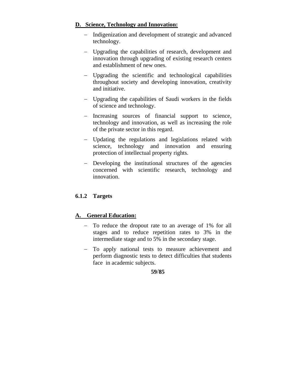### **D. Science, Technology and Innovation:**

- Indigenization and development of strategic and advanced technology.
- Upgrading the capabilities of research, development and innovation through upgrading of existing research centers and establishment of new ones.
- Upgrading the scientific and technological capabilities throughout society and developing innovation, creativity and initiative.
- Upgrading the capabilities of Saudi workers in the fields of science and technology.
- Increasing sources of financial support to science, technology and innovation, as well as increasing the role of the private sector in this regard.
- Updating the regulations and legislations related with science, technology and innovation and ensuring protection of intellectual property rights.
- Developing the institutional structures of the agencies concerned with scientific research, technology and innovation.

## **6.1.2 Targets**

## **A. General Education:**

- To reduce the dropout rate to an average of 1% for all stages and to reduce repetition rates to 3% in the intermediate stage and to 5% in the secondary stage.
- To apply national tests to measure achievement and perform diagnostic tests to detect difficulties that students face in academic subjects.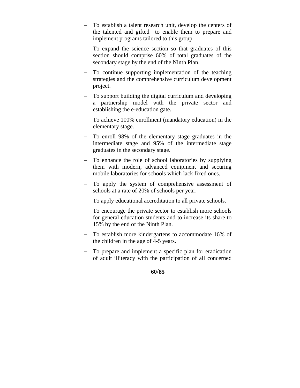- To establish a talent research unit, develop the centers of the talented and gifted to enable them to prepare and implement programs tailored to this group.
- To expand the science section so that graduates of this section should comprise 60% of total graduates of the secondary stage by the end of the Ninth Plan.
- To continue supporting implementation of the teaching strategies and the comprehensive curriculum development project.
- To support building the digital curriculum and developing a partnership model with the private sector and establishing the e-education gate.
- To achieve 100% enrollment (mandatory education) in the elementary stage.
- To enroll 98% of the elementary stage graduates in the intermediate stage and 95% of the intermediate stage graduates in the secondary stage.
- To enhance the role of school laboratories by supplying them with modern, advanced equipment and securing mobile laboratories for schools which lack fixed ones.
- To apply the system of comprehensive assessment of schools at a rate of 20% of schools per year.
- To apply educational accreditation to all private schools.
- To encourage the private sector to establish more schools for general education students and to increase its share to 15% by the end of the Ninth Plan.
- To establish more kindergartens to accommodate 16% of the children in the age of 4-5 years.
- To prepare and implement a specific plan for eradication of adult illiteracy with the participation of all concerned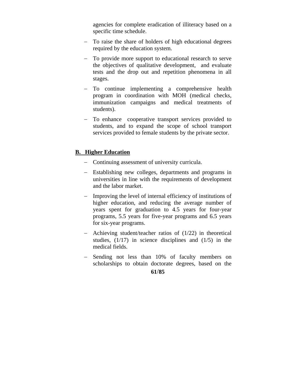agencies for complete eradication of illiteracy based on a specific time schedule.

- To raise the share of holders of high educational degrees required by the education system.
- To provide more support to educational research to serve the objectives of qualitative development, and evaluate tests and the drop out and repetition phenomena in all stages.
- To continue implementing a comprehensive health program in coordination with MOH (medical checks, immunization campaigns and medical treatments of students).
- To enhance cooperative transport services provided to students, and to expand the scope of school transport services provided to female students by the private sector.

### **B. Higher Education**

- Continuing assessment of university curricula.
- Establishing new colleges, departments and programs in universities in line with the requirements of development and the labor market.
- Improving the level of internal efficiency of institutions of higher education, and reducing the average number of years spent for graduation to 4.5 years for four-year programs, 5.5 years for five-year programs and 6.5 years for six-year programs.
- Achieving student/teacher ratios of  $(1/22)$  in theoretical studies, (1/17) in science disciplines and (1/5) in the medical fields.
- Sending not less than 10% of faculty members on scholarships to obtain doctorate degrees, based on the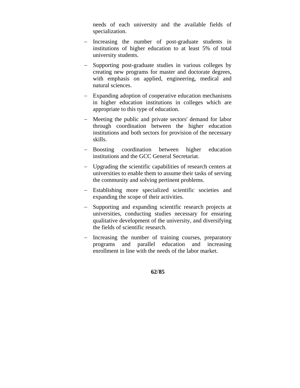needs of each university and the available fields of specialization.

- Increasing the number of post-graduate students in institutions of higher education to at least 5% of total university students.
- Supporting post-graduate studies in various colleges by creating new programs for master and doctorate degrees, with emphasis on applied, engineering, medical and natural sciences.
- Expanding adoption of cooperative education mechanisms in higher education institutions in colleges which are appropriate to this type of education.
- Meeting the public and private sectors' demand for labor through coordination between the higher education institutions and both sectors for provision of the necessary skills.
- Boosting coordination between higher education institutions and the GCC General Secretariat.
- Upgrading the scientific capabilities of research centers at universities to enable them to assume their tasks of serving the community and solving pertinent problems.
- Establishing more specialized scientific societies and expanding the scope of their activities.
- Supporting and expanding scientific research projects at universities, conducting studies necessary for ensuring qualitative development of the university, and diversifying the fields of scientific research.
- Increasing the number of training courses, preparatory programs and parallel education and increasing enrollment in line with the needs of the labor market.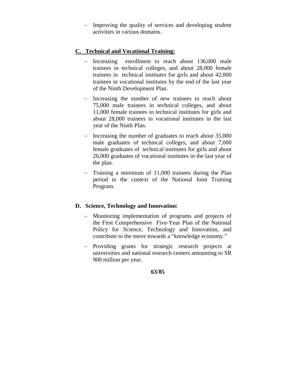Improving the quality of services and developing student activities in various domains.

#### **C. Technical and Vocational Training:**

- Increasing enrollment to reach about 136,000 male trainees in technical colleges, and about 28,000 female trainees in technical institutes for girls and about 42,000 trainees in vocational institutes by the end of the last year of the Ninth Development Plan.
- Increasing the number of new trainees to reach about 75,000 male trainees in technical colleges, and about 11,000 female trainees in technical institutes for girls and about 28,000 trainees in vocational institutes in the last year of the Ninth Plan.
- Increasing the number of graduates to reach about 35,000 male graduates of technical colleges, and about 7,000 female graduates of technical institutes for girls and about 26,000 graduates of vocational institutes in the last year of the plan.
- Training a minimum of 11,000 trainees during the Plan period in the context of the National Joint Training Program.

### **D. Science, Technology and Innovation:**

- Monitoring implementation of programs and projects of the First Comprehensive Five-Year Plan of the National Policy for Science, Technology and Innovation, and contribute to the move towards a "knowledge economy."
- Providing grants for strategic research projects at universities and national research centers amounting to SR 900 million per year.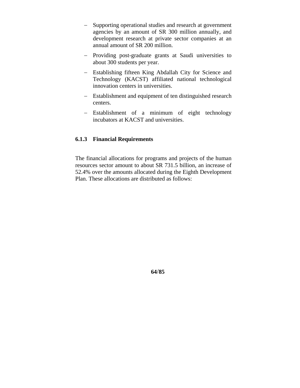- Supporting operational studies and research at government agencies by an amount of SR 300 million annually, and development research at private sector companies at an annual amount of SR 200 million.
- Providing post-graduate grants at Saudi universities to about 300 students per year.
- Establishing fifteen King Abdallah City for Science and Technology (KACST) affiliated national technological innovation centers in universities.
- Establishment and equipment of ten distinguished research centers.
- Establishment of a minimum of eight technology incubators at KACST and universities.

#### **6.1.3 Financial Requirements**

The financial allocations for programs and projects of the human resources sector amount to about SR 731.5 billion, an increase of 52.4% over the amounts allocated during the Eighth Development Plan. These allocations are distributed as follows: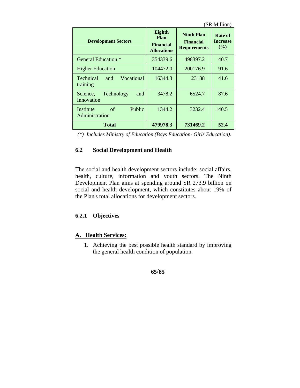| (SR Million)                                      |                                                          |                                                              |                                      |
|---------------------------------------------------|----------------------------------------------------------|--------------------------------------------------------------|--------------------------------------|
| <b>Development Sectors</b>                        | Eighth<br>Plan<br><b>Financial</b><br><b>Allocations</b> | <b>Ninth Plan</b><br><b>Financial</b><br><b>Requirements</b> | Rate of<br><b>Increase</b><br>$($ %) |
| General Education *                               | 354339.6                                                 | 498397.2                                                     | 40.7                                 |
| <b>Higher Education</b>                           | 104472.0                                                 | 200176.9                                                     | 91.6                                 |
| Vocational<br><b>Technical</b><br>and<br>training | 16344.3                                                  | 23138                                                        | 41.6                                 |
| Technology<br>Science,<br>and<br>Innovation       | 3478.2                                                   | 6524.7                                                       | 87.6                                 |
| Public<br>of<br>Institute<br>Administration       | 1344.2                                                   | 3232.4                                                       | 140.5                                |
| Total                                             | 479978.3                                                 | 731469.2                                                     | 52.4                                 |

| (*) Includes Ministry of Education (Boys Education- Girls Education). |  |  |
|-----------------------------------------------------------------------|--|--|
|                                                                       |  |  |

### **6.2 Social Development and Health**

The social and health development sectors include: social affairs, health, culture, information and youth sectors. The Ninth Development Plan aims at spending around SR 273.9 billion on social and health development, which constitutes about 19% of the Plan's total allocations for development sectors.

### **6.2.1 Objectives**

#### **A. Health Services:**

1. Achieving the best possible health standard by improving the general health condition of population.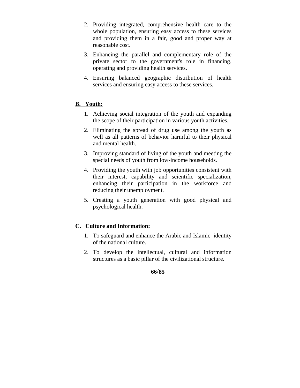- 2. Providing integrated, comprehensive health care to the whole population, ensuring easy access to these services and providing them in a fair, good and proper way at reasonable cost.
- 3. Enhancing the parallel and complementary role of the private sector to the government's role in financing, operating and providing health services.
- 4. Ensuring balanced geographic distribution of health services and ensuring easy access to these services.

### **B. Youth:**

- 1. Achieving social integration of the youth and expanding the scope of their participation in various youth activities.
- 2. Eliminating the spread of drug use among the youth as well as all patterns of behavior harmful to their physical and mental health.
- 3. Improving standard of living of the youth and meeting the special needs of youth from low-income households.
- 4. Providing the youth with job opportunities consistent with their interest, capability and scientific specialization, enhancing their participation in the workforce and reducing their unemployment.
- 5. Creating a youth generation with good physical and psychological health.

### **C. Culture and Information:**

- 1. To safeguard and enhance the Arabic and Islamic identity of the national culture.
- 2. To develop the intellectual, cultural and information structures as a basic pillar of the civilizational structure.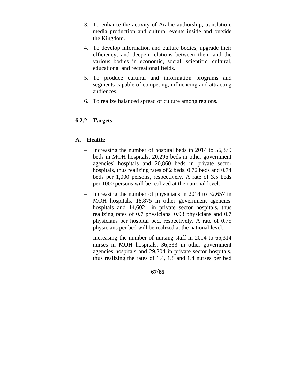- 3. To enhance the activity of Arabic authorship, translation, media production and cultural events inside and outside the Kingdom.
- 4. To develop information and culture bodies, upgrade their efficiency, and deepen relations between them and the various bodies in economic, social, scientific, cultural, educational and recreational fields.
- 5. To produce cultural and information programs and segments capable of competing, influencing and attracting audiences.
- 6. To realize balanced spread of culture among regions.

### **6.2.2 Targets**

#### **A. Health:**

- Increasing the number of hospital beds in 2014 to 56,379 beds in MOH hospitals, 20,296 beds in other government agencies' hospitals and 20,860 beds in private sector hospitals, thus realizing rates of 2 beds, 0.72 beds and 0.74 beds per 1,000 persons, respectively. A rate of 3.5 beds per 1000 persons will be realized at the national level.
- Increasing the number of physicians in 2014 to  $32,657$  in MOH hospitals, 18,875 in other government agencies' hospitals and 14,602 in private sector hospitals, thus realizing rates of 0.7 physicians, 0.93 physicians and 0.7 physicians per hospital bed, respectively. A rate of 0.75 physicians per bed will be realized at the national level.
- Increasing the number of nursing staff in 2014 to  $65,314$ nurses in MOH hospitals, 36,533 in other government agencies hospitals and 29,204 in private sector hospitals, thus realizing the rates of 1.4, 1.8 and 1.4 nurses per bed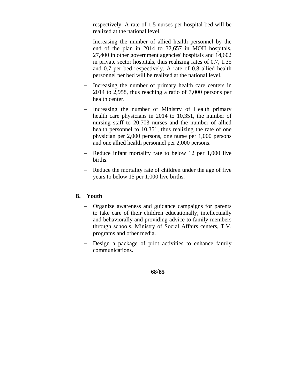respectively. A rate of 1.5 nurses per hospital bed will be realized at the national level.

- Increasing the number of allied health personnel by the end of the plan in 2014 to 32,657 in MOH hospitals, 27,400 in other government agencies' hospitals and 14,602 in private sector hospitals, thus realizing rates of 0.7, 1.35 and 0.7 per bed respectively. A rate of 0.8 allied health personnel per bed will be realized at the national level.
- Increasing the number of primary health care centers in 2014 to 2,958, thus reaching a ratio of 7,000 persons per health center.
- Increasing the number of Ministry of Health primary health care physicians in 2014 to 10,351, the number of nursing staff to 20,703 nurses and the number of allied health personnel to 10,351, thus realizing the rate of one physician per 2,000 persons, one nurse per 1,000 persons and one allied health personnel per 2,000 persons.
- Reduce infant mortality rate to below 12 per 1,000 live births.
- Reduce the mortality rate of children under the age of five years to below 15 per 1,000 live births.

### **B. Youth**

- Organize awareness and guidance campaigns for parents to take care of their children educationally, intellectually and behaviorally and providing advice to family members through schools, Ministry of Social Affairs centers, T.V. programs and other media.
- Design a package of pilot activities to enhance family communications.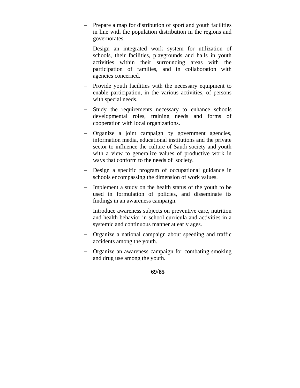- Prepare a map for distribution of sport and youth facilities in line with the population distribution in the regions and governorates.
- Design an integrated work system for utilization of schools, their facilities, playgrounds and halls in youth activities within their surrounding areas with the participation of families, and in collaboration with agencies concerned.
- Provide youth facilities with the necessary equipment to enable participation, in the various activities, of persons with special needs.
- Study the requirements necessary to enhance schools developmental roles, training needs and forms of cooperation with local organizations.
- Organize a joint campaign by government agencies, information media, educational institutions and the private sector to influence the culture of Saudi society and youth with a view to generalize values of productive work in ways that conform to the needs of society.
- Design a specific program of occupational guidance in schools encompassing the dimension of work values.
- Implement a study on the health status of the youth to be used in formulation of policies, and disseminate its findings in an awareness campaign.
- Introduce awareness subjects on preventive care, nutrition and health behavior in school curricula and activities in a systemic and continuous manner at early ages.
- Organize a national campaign about speeding and traffic accidents among the youth.
- Organize an awareness campaign for combating smoking and drug use among the youth.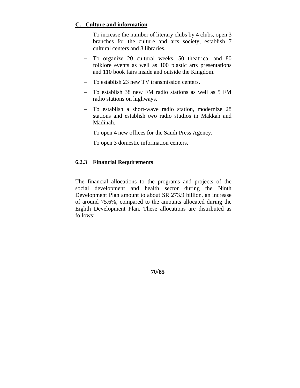### **C. Culture and information**

- To increase the number of literary clubs by 4 clubs, open 3 branches for the culture and arts society, establish 7 cultural centers and 8 libraries.
- To organize 20 cultural weeks, 50 theatrical and 80 folklore events as well as 100 plastic arts presentations and 110 book fairs inside and outside the Kingdom.
- To establish 23 new TV transmission centers.
- To establish 38 new FM radio stations as well as 5 FM radio stations on highways.
- To establish a short-wave radio station, modernize 28 stations and establish two radio studios in Makkah and Madinah.
- To open 4 new offices for the Saudi Press Agency.
- To open 3 domestic information centers.

### **6.2.3 Financial Requirements**

The financial allocations to the programs and projects of the social development and health sector during the Ninth Development Plan amount to about SR 273.9 billion, an increase of around 75.6%, compared to the amounts allocated during the Eighth Development Plan. These allocations are distributed as follows: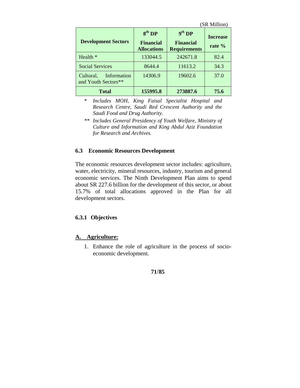| <b>Development Sectors</b>                      | 8 <sup>th</sup> DP<br><b>Financial</b><br><b>Allocations</b> | 9 <sup>th</sup> DP<br><b>Financial</b><br><b>Requirements</b> | (SR Million)<br><b>Increase</b><br>rate $%$ |
|-------------------------------------------------|--------------------------------------------------------------|---------------------------------------------------------------|---------------------------------------------|
| Health *                                        | 133044.5                                                     | 242671.8                                                      | 82.4                                        |
| <b>Social Services</b>                          | 8644.4                                                       | 11613.2                                                       | 34.3                                        |
| Cultural,<br>Information<br>and Youth Sectors** | 14306.9                                                      | 19602.6                                                       | 37.0                                        |
| Total                                           | 155995.8                                                     | 273887.6                                                      | 75.6                                        |

*\* Includes MOH, King Faisal Specialist Hospital and Research Centre, Saudi Red Crescent Authority and the Saudi Food and Drug Authority.* 

#### **6.3 Economic Resources Development**

The economic resources development sector includes: agriculture, water, electricity, mineral resources, industry, tourism and general economic services. The Ninth Development Plan aims to spend about SR 227.6 billion for the development of this sector, or about 15.7% of total allocations approved in the Plan for all development sectors.

#### **6.3.1 Objectives**

#### **A. Agriculture:**

1. Enhance the role of agriculture in the process of socioeconomic development.

*<sup>\*\*</sup> Includes General Presidency of Youth Welfare, Ministry of Culture and Information and King Abdul Aziz Foundation for Research and Archives.*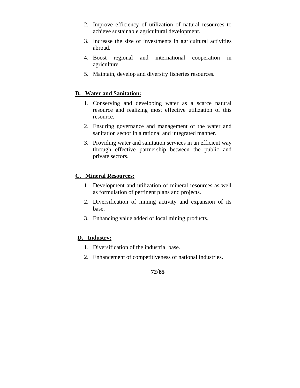- 2. Improve efficiency of utilization of natural resources to achieve sustainable agricultural development.
- 3. Increase the size of investments in agricultural activities abroad.
- 4. Boost regional and international cooperation in agriculture.
- 5. Maintain, develop and diversify fisheries resources.

#### **B. Water and Sanitation:**

- 1. Conserving and developing water as a scarce natural resource and realizing most effective utilization of this resource.
- 2. Ensuring governance and management of the water and sanitation sector in a rational and integrated manner.
- 3. Providing water and sanitation services in an efficient way through effective partnership between the public and private sectors.

#### **C. Mineral Resources:**

- 1. Development and utilization of mineral resources as well as formulation of pertinent plans and projects.
- 2. Diversification of mining activity and expansion of its base.
- 3. Enhancing value added of local mining products.

#### **D. Industry:**

- 1. Diversification of the industrial base.
- 2. Enhancement of competitiveness of national industries.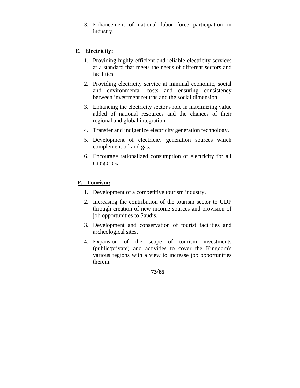3. Enhancement of national labor force participation in industry.

## **E. Electricity:**

- 1. Providing highly efficient and reliable electricity services at a standard that meets the needs of different sectors and facilities.
- 2. Providing electricity service at minimal economic, social and environmental costs and ensuring consistency between investment returns and the social dimension.
- 3. Enhancing the electricity sector's role in maximizing value added of national resources and the chances of their regional and global integration.
- 4. Transfer and indigenize electricity generation technology.
- 5. Development of electricity generation sources which complement oil and gas.
- 6. Encourage rationalized consumption of electricity for all categories.

## **F. Tourism:**

- 1. Development of a competitive tourism industry.
- 2. Increasing the contribution of the tourism sector to GDP through creation of new income sources and provision of job opportunities to Saudis.
- 3. Development and conservation of tourist facilities and archeological sites.
- 4. Expansion of the scope of tourism investments (public/private) and activities to cover the Kingdom's various regions with a view to increase job opportunities therein.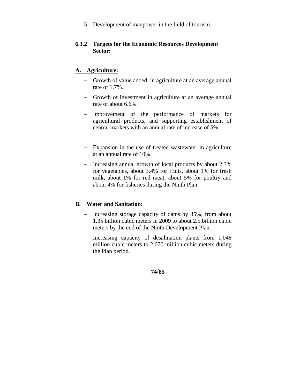5. Development of manpower in the field of tourism.

## **6.3.2 Targets for the Economic Resources Development Sector:**

## **A. Agriculture:**

- Growth of value added in agriculture at an average annual rate of 1.7%.
- Growth of investment in agriculture at an average annual rate of about 6.6%.
- Improvement of the performance of markets for agricultural products, and supporting establishment of central markets with an annual rate of increase of 5%.
- Expansion in the use of treated wastewater in agriculture at an annual rate of 10%.
- Increasing annual growth of local products by about 2.3% for vegetables, about 3.4% for fruits, about 1% for fresh milk, about 1% for red meat, about 5% for poultry and about 4% for fisheries during the Ninth Plan.

## **B. Water and Sanitation:**

- Increasing storage capacity of dams by 85%, from about 1.35 billion cubic meters in 2009 to about 2.5 billion cubic meters by the end of the Ninth Development Plan.
- Increasing capacity of desalination plants from 1,048 million cubic meters to 2,070 million cubic meters during the Plan period.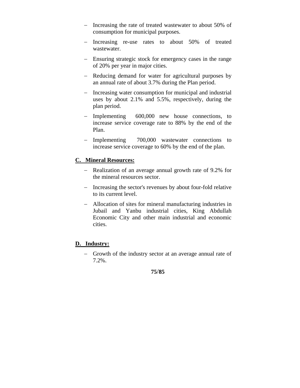- Increasing the rate of treated wastewater to about 50% of consumption for municipal purposes.
- Increasing re-use rates to about 50% of treated wastewater.
- Ensuring strategic stock for emergency cases in the range of 20% per year in major cities.
- Reducing demand for water for agricultural purposes by an annual rate of about 3.7% during the Plan period.
- Increasing water consumption for municipal and industrial uses by about 2.1% and 5.5%, respectively, during the plan period.
- Implementing 600,000 new house connections, to increase service coverage rate to 88% by the end of the Plan.
- Implementing 700,000 wastewater connections to increase service coverage to 60% by the end of the plan.

## **C. Mineral Resources:**

- Realization of an average annual growth rate of 9.2% for the mineral resources sector.
- Increasing the sector's revenues by about four-fold relative to its current level.
- Allocation of sites for mineral manufacturing industries in Jubail and Yanbu industrial cities, King Abdullah Economic City and other main industrial and economic cities.

## **D. Industry:**

- Growth of the industry sector at an average annual rate of 7.2%.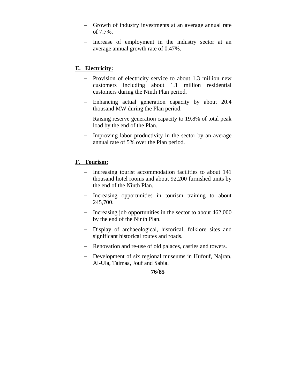- Growth of industry investments at an average annual rate of 7.7%.
- Increase of employment in the industry sector at an average annual growth rate of 0.47%.

## **E. Electricity:**

- Provision of electricity service to about 1.3 million new customers including about 1.1 million residential customers during the Ninth Plan period.
- Enhancing actual generation capacity by about 20.4 thousand MW during the Plan period.
- Raising reserve generation capacity to 19.8% of total peak load by the end of the Plan.
- Improving labor productivity in the sector by an average annual rate of 5% over the Plan period.

## **F. Tourism:**

- Increasing tourist accommodation facilities to about 141 thousand hotel rooms and about 92,200 furnished units by the end of the Ninth Plan.
- Increasing opportunities in tourism training to about 245,700.
- $\frac{1}{2}$  Increasing job opportunities in the sector to about 462,000 by the end of the Ninth Plan.
- Display of archaeological, historical, folklore sites and significant historical routes and roads.
- Renovation and re-use of old palaces, castles and towers.
- Development of six regional museums in Hufouf, Najran, Al-Ula, Taimaa, Jouf and Sabia.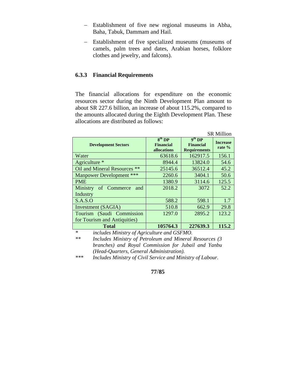- Establishment of five new regional museums in Abha, Baha, Tabuk, Dammam and Hail.
- Establishment of five specialized museums (museums of camels, palm trees and dates, Arabian horses, folklore clothes and jewelry, and falcons).

#### **6.3.3 Financial Requirements**

The financial allocations for expenditure on the economic resources sector during the Ninth Development Plan amount to about SR 227.6 billion, an increase of about 115.2%, compared to the amounts allocated during the Eighth Development Plan. These allocations are distributed as follows:

| <b>SR Million</b>               |                                                       |                                                               |                           |  |
|---------------------------------|-------------------------------------------------------|---------------------------------------------------------------|---------------------------|--|
| <b>Development Sectors</b>      | 8 <sup>th</sup> DP<br><b>Financial</b><br>allocations | 9 <sup>th</sup> DP<br><b>Financial</b><br><b>Requirements</b> | <b>Increase</b><br>rate % |  |
| Water                           | 63618.6                                               | 162917.5                                                      | 156.1                     |  |
| Agriculture *                   | 8944.4                                                | 13824.0                                                       | 54.6                      |  |
| Oil and Mineral Resources **    | 25145.6                                               | 36512.4                                                       | 45.2                      |  |
| <b>Manpower Development ***</b> | 2260.6                                                | 3404.1                                                        | 50.6                      |  |
| <b>PME</b>                      | 1380.9                                                | 3114.6                                                        | 125.5                     |  |
| of Commerce<br>Ministry<br>and  | 2018.2                                                | 3072                                                          | 52.2                      |  |
| Industry                        |                                                       |                                                               |                           |  |
| S.A.S.O                         | 588.2                                                 | 598.1                                                         | 1.7                       |  |
| Investment (SAGIA)              | 510.8                                                 | 662.9                                                         | 29.8                      |  |
| Tourism (Saudi Commission       | 1297.0                                                | 2895.2                                                        | 123.2                     |  |
| for Tourism and Antiquities)    |                                                       |                                                               |                           |  |
| <b>Total</b>                    | 105764.3                                              | 227639.3                                                      | 115.2                     |  |
| ÷                               |                                                       |                                                               |                           |  |

*\* includes Ministry of Agriculture and GSFMO.* 

*\*\* Includes Ministry of Petroleum and Mineral Resources (3 branches) and Royal Commission for Jubail and Yanbu (Head-Quarters, General Administration).* 

*\*\*\* Includes Ministry of Civil Service and Ministry of Labour.*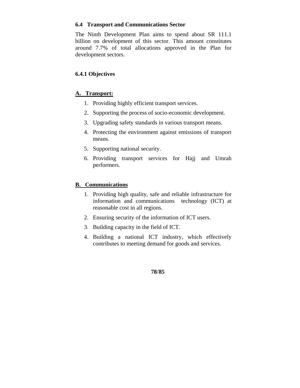### **6.4 Transport and Communications Sector**

The Ninth Development Plan aims to spend about SR 111.1 billion on development of this sector. This amount constitutes around 7.7% of total allocations approved in the Plan for development sectors.

## **6.4.1 Objectives**

### **A. Transport:**

- 1. Providing highly efficient transport services.
- 2. Supporting the process of socio-economic development.
- 3. Upgrading safety standards in various transport means.
- 4. Protecting the environment against emissions of transport means.
- 5. Supporting national security.
- 6. Providing transport services for Hajj and Umrah performers.

### **B. Communications**

- 1. Providing high quality, safe and reliable infrastructure for information and communications technology (ICT) at reasonable cost in all regions.
- 2. Ensuring security of the information of ICT users.
- 3. Building capacity in the field of ICT.
- 4. Building a national ICT industry, which effectively contributes to meeting demand for goods and services.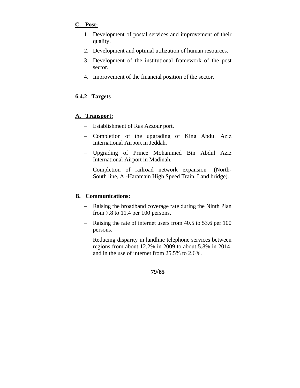## **C. Post:**

- 1. Development of postal services and improvement of their quality.
- 2. Development and optimal utilization of human resources.
- 3. Development of the institutional framework of the post sector.
- 4. Improvement of the financial position of the sector.

## **6.4.2 Targets**

## **A. Transport:**

- Establishment of Ras Azzour port.
- Completion of the upgrading of King Abdul Aziz International Airport in Jeddah.
- Upgrading of Prince Mohammed Bin Abdul Aziz International Airport in Madinah.
- Completion of railroad network expansion (North-South line, Al-Haramain High Speed Train, Land bridge).

## **B. Communications:**

- Raising the broadband coverage rate during the Ninth Plan from 7.8 to 11.4 per 100 persons.
- Raising the rate of internet users from 40.5 to 53.6 per 100 persons.
- Reducing disparity in landline telephone services between regions from about 12.2% in 2009 to about 5.8% in 2014, and in the use of internet from 25.5% to 2.6%.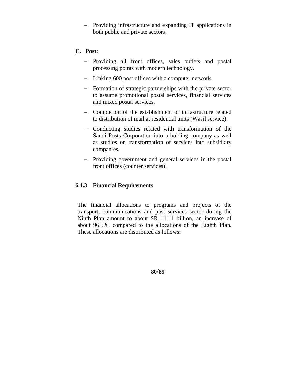- Providing infrastructure and expanding IT applications in both public and private sectors.

### **C. Post:**

- Providing all front offices, sales outlets and postal processing points with modern technology.
- Linking 600 post offices with a computer network.
- Formation of strategic partnerships with the private sector to assume promotional postal services, financial services and mixed postal services.
- Completion of the establishment of infrastructure related to distribution of mail at residential units (Wasil service).
- Conducting studies related with transformation of the Saudi Posts Corporation into a holding company as well as studies on transformation of services into subsidiary companies.
- Providing government and general services in the postal front offices (counter services).

### **6.4.3 Financial Requirements**

The financial allocations to programs and projects of the transport, communications and post services sector during the Ninth Plan amount to about SR 111.1 billion, an increase of about 96.5%, compared to the allocations of the Eighth Plan. These allocations are distributed as follows: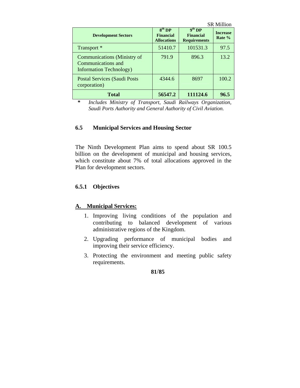|                                                                                             |                                                    |                                                     | <b>SR Million</b>           |
|---------------------------------------------------------------------------------------------|----------------------------------------------------|-----------------------------------------------------|-----------------------------|
| <b>Development Sectors</b>                                                                  | $8th$ DP<br><b>Financial</b><br><b>Allocations</b> | $9th$ DP<br><b>Financial</b><br><b>Requirements</b> | <b>Increase</b><br>Rate $%$ |
| Transport <sup>*</sup>                                                                      | 51410.7                                            | 101531.3                                            | 97.5                        |
| <b>Communications</b> (Ministry of<br>Communications and<br><b>Information Technology</b> ) | 791.9                                              | 896.3                                               | 13.2                        |
| Postal Services (Saudi Posts<br>corporation)                                                | 4344.6                                             | 8697                                                | 100.2                       |
| <b>Total</b>                                                                                | 56547.2                                            | 111124.6                                            | 96.5                        |

*\* Includes Ministry of Transport, Saudi Railways Organization, Saudi Ports Authority and General Authority of Civil Aviation.* 

### **6.5 Municipal Services and Housing Sector**

The Ninth Development Plan aims to spend about SR 100.5 billion on the development of municipal and housing services, which constitute about 7% of total allocations approved in the Plan for development sectors.

#### **6.5.1 Objectives**

#### **A. Municipal Services:**

- 1. Improving living conditions of the population and contributing to balanced development of various administrative regions of the Kingdom.
- 2. Upgrading performance of municipal bodies and improving their service efficiency.
- 3. Protecting the environment and meeting public safety requirements.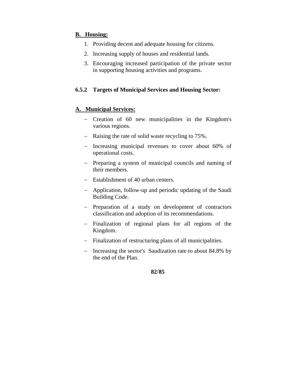## **B. Housing:**

- 1. Providing decent and adequate housing for citizens.
- 2. Increasing supply of houses and residential lands.
- 3. Encouraging increased participation of the private sector in supporting housing activities and programs.

## **6.5.2 Targets of Municipal Services and Housing Sector:**

### **A. Municipal Services:**

- Creation of 60 new municipalities in the Kingdom's various regions.
- Raising the rate of solid waste recycling to 75%.
- Increasing municipal revenues to cover about 60% of operational costs.
- Preparing a system of municipal councils and naming of their members.
- Establishment of 40 urban centers.
- Application, follow-up and periodic updating of the Saudi Building Code.
- Preparation of a study on development of contractors classification and adoption of its recommendations.
- Finalization of regional plans for all regions of the Kingdom.
- Finalization of restructuring plans of all municipalities.
- Increasing the sector's Saudization rate to about 84.8% by the end of the Plan.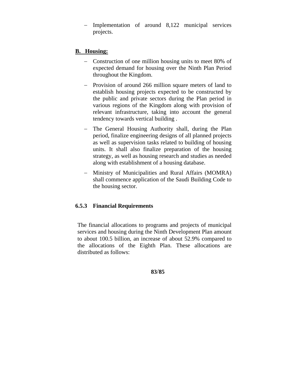Implementation of around 8,122 municipal services projects.

## **B. Housing:**

- Construction of one million housing units to meet 80% of expected demand for housing over the Ninth Plan Period throughout the Kingdom.
- Provision of around 266 million square meters of land to establish housing projects expected to be constructed by the public and private sectors during the Plan period in various regions of the Kingdom along with provision of relevant infrastructure, taking into account the general tendency towards vertical building .
- The General Housing Authority shall, during the Plan period, finalize engineering designs of all planned projects as well as supervision tasks related to building of housing units. It shall also finalize preparation of the housing strategy, as well as housing research and studies as needed along with establishment of a housing database.
- Ministry of Municipalities and Rural Affairs (MOMRA) shall commence application of the Saudi Building Code to the housing sector.

## **6.5.3 Financial Requirements**

The financial allocations to programs and projects of municipal services and housing during the Ninth Development Plan amount to about 100.5 billion, an increase of about 52.9% compared to the allocations of the Eighth Plan. These allocations are distributed as follows: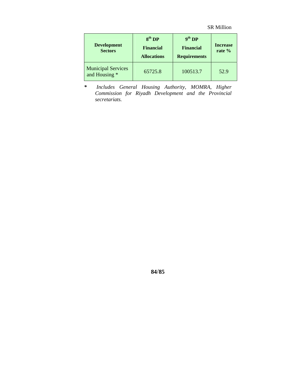| <b>Development</b><br><b>Sectors</b>       | 8 <sup>th</sup> DP<br><b>Financial</b><br><b>Allocations</b> | 9 <sup>th</sup> DP<br><b>Financial</b><br><b>Requirements</b> | <b>Increase</b><br>rate $%$ |
|--------------------------------------------|--------------------------------------------------------------|---------------------------------------------------------------|-----------------------------|
| <b>Municipal Services</b><br>and Housing * | 65725.8                                                      | 100513.7                                                      | 52.9                        |

*\* Includes General Housing Authority, MOMRA, Higher Commission for Riyadh Development and the Provincial secretariats.*